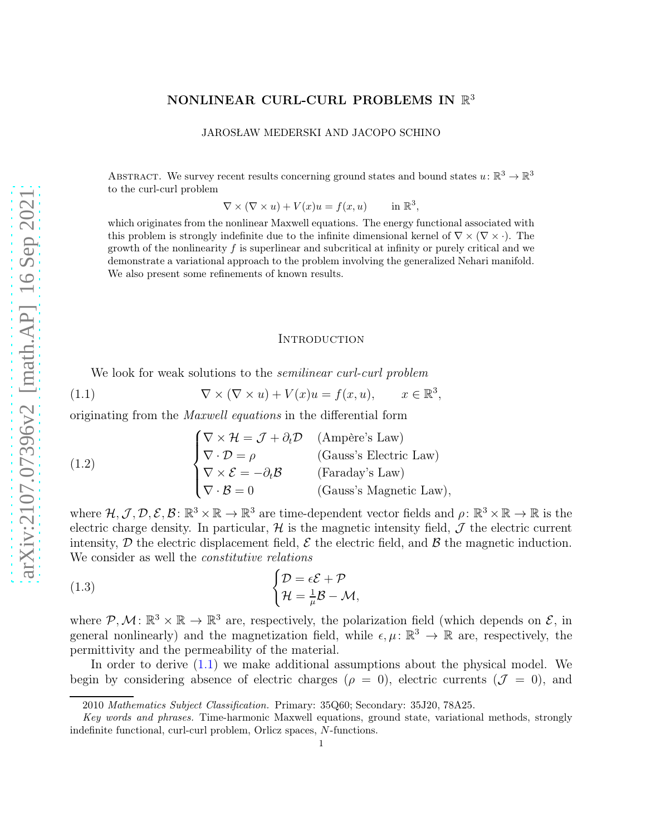# NONLINEAR CURL-CURL PROBLEMS IN  $\mathbb{R}^3$

JAROSŁAW MEDERSKI AND JACOPO SCHINO

ABSTRACT. We survey recent results concerning ground states and bound states  $u: \mathbb{R}^3 \to \mathbb{R}^3$ to the curl-curl problem

> $\nabla \times (\nabla \times u) + V(x)u = f(x, u)$ 3 ,

which originates from the nonlinear Maxwell equations. The energy functional associated with this problem is strongly indefinite due to the infinite dimensional kernel of  $\nabla \times (\nabla \times \cdot)$ . The growth of the nonlinearity  $f$  is superlinear and subcritical at infinity or purely critical and we demonstrate a variational approach to the problem involving the generalized Nehari manifold. We also present some refinements of known results.

#### <span id="page-0-0"></span>**INTRODUCTION**

We look for weak solutions to the *semilinear curl-curl problem*

(1.1) 
$$
\nabla \times (\nabla \times u) + V(x)u = f(x, u), \qquad x \in \mathbb{R}^3,
$$

originating from the *Maxwell equations* in the differential form

<span id="page-0-2"></span>(1.2)  $\sqrt{ }$  $\int$  $\overline{\mathcal{L}}$  $\nabla \times \mathcal{H} = \mathcal{J} + \partial_t \mathcal{D}$  (Ampère's Law)  $\nabla \cdot \mathcal{D} = \rho$  (Gauss's Electric Law)  $\nabla \times \mathcal{E} = -\partial_t \mathcal{B}$  (Faraday's Law)  $\nabla \cdot \mathcal{B} = 0$  (Gauss's Magnetic Law),

where  $\mathcal{H}, \mathcal{J}, \mathcal{D}, \mathcal{E}, \mathcal{B}: \mathbb{R}^3 \times \mathbb{R} \to \mathbb{R}^3$  are time-dependent vector fields and  $\rho: \mathbb{R}^3 \times \mathbb{R} \to \mathbb{R}$  is the electric charge density. In particular,  $\mathcal{H}$  is the magnetic intensity field,  $\mathcal{J}$  the electric current intensity,  $\mathcal D$  the electric displacement field,  $\mathcal E$  the electric field, and  $\mathcal B$  the magnetic induction. We consider as well the *constitutive relations*

<span id="page-0-1"></span>(1.3) 
$$
\begin{cases} \mathcal{D} = \epsilon \mathcal{E} + \mathcal{P} \\ \mathcal{H} = \frac{1}{\mu} \mathcal{B} - \mathcal{M}, \end{cases}
$$

where  $\mathcal{P}, \mathcal{M} \colon \mathbb{R}^3 \times \mathbb{R} \to \mathbb{R}^3$  are, respectively, the polarization field (which depends on  $\mathcal{E}$ , in general nonlinearly) and the magnetization field, while  $\epsilon, \mu \colon \mathbb{R}^3 \to \mathbb{R}$  are, respectively, the permittivity and the permeability of the material.

In order to derive [\(1.1\)](#page-0-0) we make additional assumptions about the physical model. We begin by considering absence of electric charges ( $\rho = 0$ ), electric currents ( $\mathcal{J} = 0$ ), and

<sup>2010</sup> Mathematics Subject Classification. Primary: 35Q60; Secondary: 35J20, 78A25.

Key words and phrases. Time-harmonic Maxwell equations, ground state, variational methods, strongly indefinite functional, curl-curl problem, Orlicz spaces, N-functions.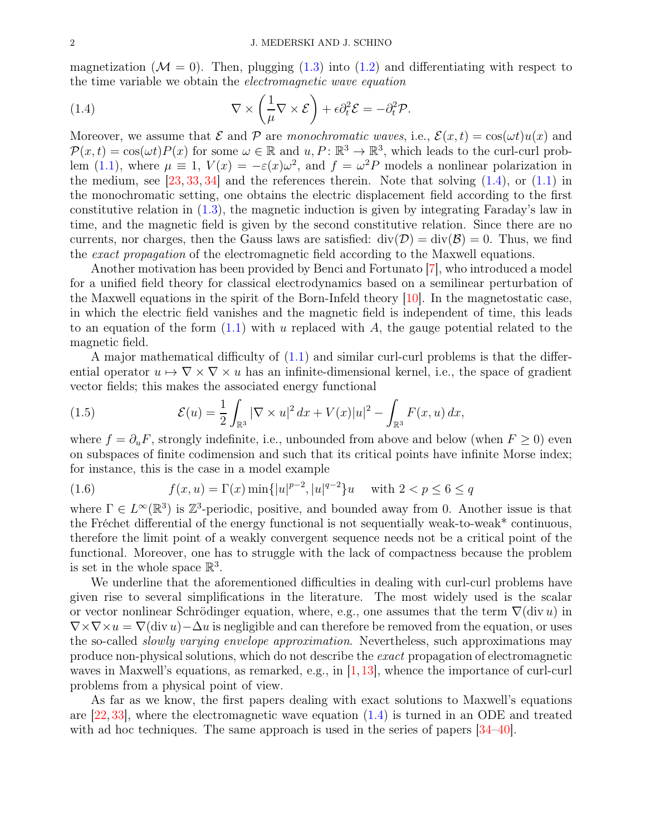magnetization ( $\mathcal{M} = 0$ ). Then, plugging [\(1.3\)](#page-0-1) into [\(1.2\)](#page-0-2) and differentiating with respect to the time variable we obtain the *electromagnetic wave equation*

<span id="page-1-0"></span>(1.4) 
$$
\nabla \times \left(\frac{1}{\mu} \nabla \times \mathcal{E}\right) + \epsilon \partial_t^2 \mathcal{E} = -\partial_t^2 \mathcal{P}.
$$

Moreover, we assume that  $\mathcal E$  and  $\mathcal P$  are *monochromatic waves*, i.e.,  $\mathcal E(x,t) = \cos(\omega t)u(x)$  and  $P(x,t) = \cos(\omega t)P(x)$  for some  $\omega \in \mathbb{R}$  and  $u, P: \mathbb{R}^3 \to \mathbb{R}^3$ , which leads to the curl-curl prob-lem [\(1.1\)](#page-0-0), where  $\mu \equiv 1$ ,  $V(x) = -\varepsilon(x)\omega^2$ , and  $f = \omega^2 P$  models a nonlinear polarization in the medium, see  $[23, 33, 34]$  $[23, 33, 34]$  $[23, 33, 34]$  $[23, 33, 34]$  and the references therein. Note that solving  $(1.4)$ , or  $(1.1)$  in the monochromatic setting, one obtains the electric displacement field according to the first constitutive relation in [\(1.3\)](#page-0-1), the magnetic induction is given by integrating Faraday's law in time, and the magnetic field is given by the second constitutive relation. Since there are no currents, nor charges, then the Gauss laws are satisfied:  $div(\mathcal{D}) = div(\mathcal{B}) = 0$ . Thus, we find the *exact propagation* of the electromagnetic field according to the Maxwell equations.

Another motivation has been provided by Benci and Fortunato [\[7\]](#page-23-1), who introduced a model for a unified field theory for classical electrodynamics based on a semilinear perturbation of the Maxwell equations in the spirit of the Born-Infeld theory  $[10]$ . In the magnetostatic case, in which the electric field vanishes and the magnetic field is independent of time, this leads to an equation of the form  $(1.1)$  with u replaced with A, the gauge potential related to the magnetic field.

A major mathematical difficulty of [\(1.1\)](#page-0-0) and similar curl-curl problems is that the differential operator  $u \mapsto \nabla \times \nabla \times u$  has an infinite-dimensional kernel, i.e., the space of gradient vector fields; this makes the associated energy functional

<span id="page-1-2"></span>(1.5) 
$$
\mathcal{E}(u) = \frac{1}{2} \int_{\mathbb{R}^3} |\nabla \times u|^2 dx + V(x)|u|^2 - \int_{\mathbb{R}^3} F(x, u) dx,
$$

where  $f = \partial_u F$ , strongly indefinite, i.e., unbounded from above and below (when  $F \ge 0$ ) even on subspaces of finite codimension and such that its critical points have infinite Morse index; for instance, this is the case in a model example

<span id="page-1-1"></span>(1.6) 
$$
f(x, u) = \Gamma(x) \min\{|u|^{p-2}, |u|^{q-2}\}u \quad \text{with } 2 < p \le 6 \le q
$$

where  $\Gamma \in L^{\infty}(\mathbb{R}^{3})$  is  $\mathbb{Z}^{3}$ -periodic, positive, and bounded away from 0. Another issue is that the Fréchet differential of the energy functional is not sequentially weak-to-weak\* continuous, therefore the limit point of a weakly convergent sequence needs not be a critical point of the functional. Moreover, one has to struggle with the lack of compactness because the problem is set in the whole space  $\mathbb{R}^3$ .

We underline that the aforementioned difficulties in dealing with curl-curl problems have given rise to several simplifications in the literature. The most widely used is the scalar or vector nonlinear Schrödinger equation, where, e.g., one assumes that the term  $\nabla(\text{div }u)$  in  $\nabla \times \nabla \times u = \nabla(\text{div } u) - \Delta u$  is negligible and can therefore be removed from the equation, or uses the so-called *slowly varying envelope approximation*. Nevertheless, such approximations may produce non-physical solutions, which do not describe the *exact* propagation of electromagnetic waves in Maxwell's equations, as remarked, e.g., in  $[1,13]$  $[1,13]$ , whence the importance of curl-curl problems from a physical point of view.

As far as we know, the first papers dealing with exact solutions to Maxwell's equations are  $[22, 33]$  $[22, 33]$ , where the electromagnetic wave equation  $(1.4)$  is turned in an ODE and treated with ad hoc techniques. The same approach is used in the series of papers  $|34-40|$ .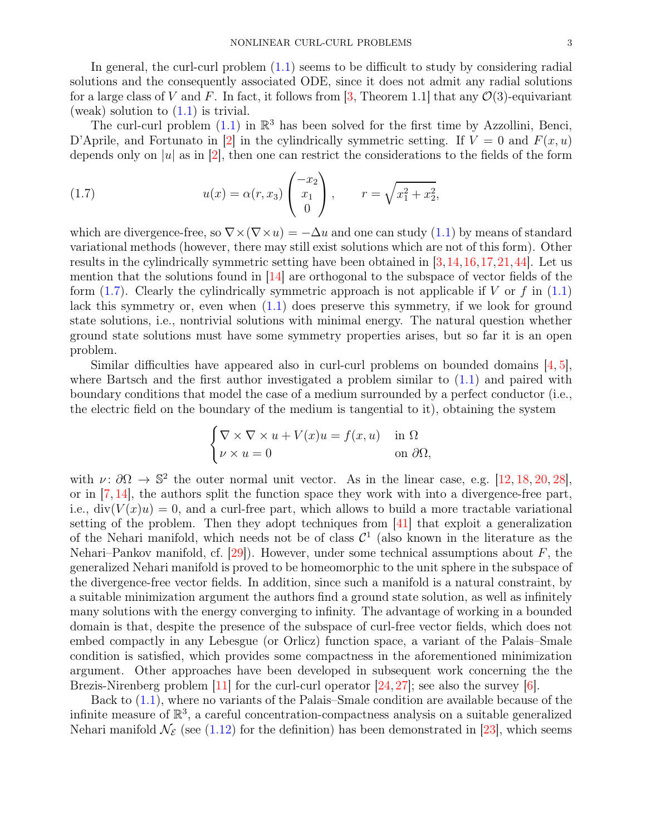In general, the curl-curl problem [\(1.1\)](#page-0-0) seems to be difficult to study by considering radial solutions and the consequently associated ODE, since it does not admit any radial solutions for a large class of V and F. In fact, it follows from [\[3,](#page-23-5) Theorem 1.1] that any  $\mathcal{O}(3)$ -equivariant (weak) solution to  $(1.1)$  is trivial.

The curl-curl problem  $(1.1)$  in  $\mathbb{R}^3$  has been solved for the first time by Azzollini, Benci, D'Aprile, and Fortunato in [\[2\]](#page-23-6) in the cylindrically symmetric setting. If  $V = 0$  and  $F(x, u)$ depends only on |u| as in [\[2\]](#page-23-6), then one can restrict the considerations to the fields of the form

<span id="page-2-0"></span>(1.7) 
$$
u(x) = \alpha(r, x_3) \begin{pmatrix} -x_2 \\ x_1 \\ 0 \end{pmatrix}, \qquad r = \sqrt{x_1^2 + x_2^2},
$$

which are divergence-free, so  $\nabla \times (\nabla \times u) = -\Delta u$  and one can study [\(1.1\)](#page-0-0) by means of standard variational methods (however, there may still exist solutions which are not of this form). Other results in the cylindrically symmetric setting have been obtained in [\[3,](#page-23-5)[14,](#page-23-7)[16,](#page-23-8)[17,](#page-23-9)[21,](#page-23-10)[44\]](#page-24-3). Let us mention that the solutions found in [\[14\]](#page-23-7) are orthogonal to the subspace of vector fields of the form  $(1.7)$ . Clearly the cylindrically symmetric approach is not applicable if V or f in  $(1.1)$ lack this symmetry or, even when  $(1.1)$  does preserve this symmetry, if we look for ground state solutions, i.e., nontrivial solutions with minimal energy. The natural question whether ground state solutions must have some symmetry properties arises, but so far it is an open problem.

Similar difficulties have appeared also in curl-curl problems on bounded domains [\[4,](#page-23-11) [5\]](#page-23-12), where Bartsch and the first author investigated a problem similar to  $(1.1)$  and paired with boundary conditions that model the case of a medium surrounded by a perfect conductor (i.e., the electric field on the boundary of the medium is tangential to it), obtaining the system

$$
\begin{cases} \nabla \times \nabla \times u + V(x)u = f(x, u) & \text{in } \Omega \\ \nu \times u = 0 & \text{on } \partial \Omega, \end{cases}
$$

with  $\nu: \partial\Omega \to \mathbb{S}^2$  the outer normal unit vector. As in the linear case, e.g. [\[12,](#page-23-13) [18,](#page-23-14) [20,](#page-23-15) [28\]](#page-23-16), or in  $[7, 14]$  $[7, 14]$ , the authors split the function space they work with into a divergence-free part, i.e.,  $div(V(x)u) = 0$ , and a curl-free part, which allows to build a more tractable variational setting of the problem. Then they adopt techniques from [\[41\]](#page-24-4) that exploit a generalization of the Nehari manifold, which needs not be of class  $\mathcal{C}^1$  (also known in the literature as the Nehari–Pankov manifold, cf.  $[29]$ ). However, under some technical assumptions about F, the generalized Nehari manifold is proved to be homeomorphic to the unit sphere in the subspace of the divergence-free vector fields. In addition, since such a manifold is a natural constraint, by a suitable minimization argument the authors find a ground state solution, as well as infinitely many solutions with the energy converging to infinity. The advantage of working in a bounded domain is that, despite the presence of the subspace of curl-free vector fields, which does not embed compactly in any Lebesgue (or Orlicz) function space, a variant of the Palais–Smale condition is satisfied, which provides some compactness in the aforementioned minimization argument. Other approaches have been developed in subsequent work concerning the the Brezis-Nirenberg problem  $[11]$  for the curl-curl operator  $[24, 27]$  $[24, 27]$ ; see also the survey  $[6]$ .

Back to [\(1.1\)](#page-0-0), where no variants of the Palais–Smale condition are available because of the infinite measure of  $\mathbb{R}^3$ , a careful concentration-compactness analysis on a suitable generalized Nehari manifold  $\mathcal{N}_{\mathcal{E}}$  (see [\(1.12\)](#page-5-0) for the definition) has been demonstrated in [\[23\]](#page-23-0), which seems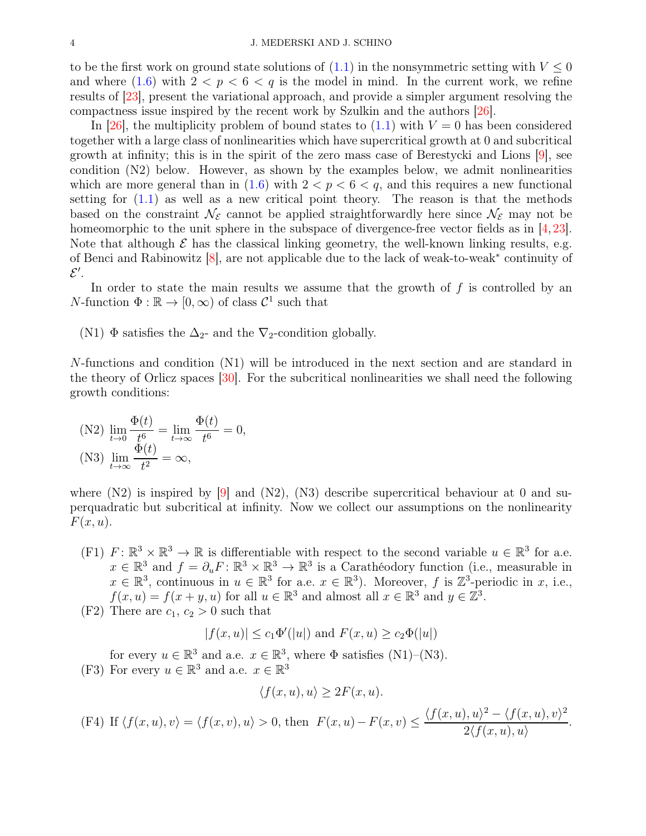to be the first work on ground state solutions of  $(1.1)$  in the nonsymmetric setting with  $V \leq 0$ and where  $(1.6)$  with  $2 < p < 6 < q$  is the model in mind. In the current work, we refine results of [\[23\]](#page-23-0), present the variational approach, and provide a simpler argument resolving the compactness issue inspired by the recent work by Szulkin and the authors [\[26\]](#page-23-22).

In [\[26\]](#page-23-22), the multiplicity problem of bound states to  $(1.1)$  with  $V = 0$  has been considered together with a large class of nonlinearities which have supercritical growth at 0 and subcritical growth at infinity; this is in the spirit of the zero mass case of Berestycki and Lions [\[9\]](#page-23-23), see condition (N2) below. However, as shown by the examples below, we admit nonlinearities which are more general than in  $(1.6)$  with  $2 < p < 6 < q$ , and this requires a new functional setting for  $(1.1)$  as well as a new critical point theory. The reason is that the methods based on the constraint  $\mathcal{N}_{\mathcal{E}}$  cannot be applied straightforwardly here since  $\mathcal{N}_{\mathcal{E}}$  may not be homeomorphic to the unit sphere in the subspace of divergence-free vector fields as in [\[4,](#page-23-11) [23\]](#page-23-0). Note that although  $\mathcal E$  has the classical linking geometry, the well-known linking results, e.g. of Benci and Rabinowitz [\[8\]](#page-23-24), are not applicable due to the lack of weak-to-weak<sup>∗</sup> continuity of  $\mathcal{E}^{\prime}$ .

In order to state the main results we assume that the growth of  $f$  is controlled by an N-function  $\Phi : \mathbb{R} \to [0, \infty)$  of class  $\mathcal{C}^1$  such that

(N1)  $\Phi$  satisfies the  $\Delta_{2}$ - and the  $\nabla_{2}$ -condition globally.

N-functions and condition (N1) will be introduced in the next section and are standard in the theory of Orlicz spaces [\[30\]](#page-23-25). For the subcritical nonlinearities we shall need the following growth conditions:

(N2) 
$$
\lim_{t \to 0} \frac{\Phi(t)}{t^6} = \lim_{t \to \infty} \frac{\Phi(t)}{t^6} = 0,
$$
  
(N3) 
$$
\lim_{t \to \infty} \frac{\Phi(t)}{t^2} = \infty,
$$

where  $(N2)$  is inspired by [\[9\]](#page-23-23) and  $(N2)$ ,  $(N3)$  describe supercritical behaviour at 0 and superquadratic but subcritical at infinity. Now we collect our assumptions on the nonlinearity  $F(x, u)$ .

(F1)  $F: \mathbb{R}^3 \times \mathbb{R}^3 \to \mathbb{R}$  is differentiable with respect to the second variable  $u \in \mathbb{R}^3$  for a.e.  $x \in \mathbb{R}^3$  and  $f = \partial_u F : \mathbb{R}^3 \times \mathbb{R}^3 \to \mathbb{R}^3$  is a Carathéodory function (i.e., measurable in  $x \in \mathbb{R}^3$ , continuous in  $u \in \mathbb{R}^3$  for a.e.  $x \in \mathbb{R}^3$ ). Moreover, f is  $\mathbb{Z}^3$ -periodic in x, i.e.,  $f(x, u) = f(x + y, u)$  for all  $u \in \mathbb{R}^3$  and almost all  $x \in \mathbb{R}^3$  and  $y \in \mathbb{Z}^3$ .

(F2) There are  $c_1, c_2 > 0$  such that

$$
|f(x, u)| \le c_1 \Phi'(|u|)
$$
 and  $F(x, u) \ge c_2 \Phi(|u|)$ 

for every  $u \in \mathbb{R}^3$  and a.e.  $x \in \mathbb{R}^3$ , where  $\Phi$  satisfies (N1)–(N3). (F3) For every  $u \in \mathbb{R}^3$  and a.e.  $x \in \mathbb{R}^3$ 

$$
\langle f(x, u), u \rangle \ge 2F(x, u).
$$

(F4) If  $\langle f(x, u), v \rangle = \langle f(x, v), u \rangle > 0$ , then  $F(x, u) - F(x, v) \le$  $\langle f(x, u), u \rangle^2 - \langle f(x, u), v \rangle^2$  $2\langle f(x, u), u\rangle$ .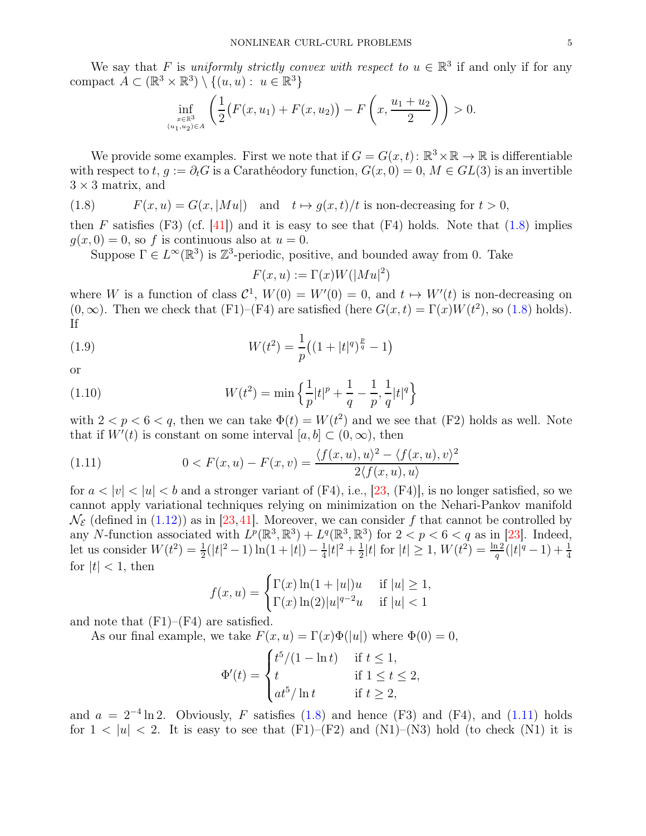We say that F is *uniformly strictly convex with respect to*  $u \in \mathbb{R}^3$  if and only if for any compact  $A \subset (\mathbb{R}^3 \times \mathbb{R}^3) \setminus \{(u, u) : u \in \mathbb{R}^3\}$ 

$$
\inf_{\substack{x \in \mathbb{R}^3 \\ (u_1, u_2) \in A}} \left( \frac{1}{2} \big( F(x, u_1) + F(x, u_2) \big) - F\left(x, \frac{u_1 + u_2}{2}\right) \right) > 0.
$$

We provide some examples. First we note that if  $G = G(x, t)$ :  $\mathbb{R}^3 \times \mathbb{R} \to \mathbb{R}$  is differentiable with respect to t,  $q := \partial_t G$  is a Carathéodory function,  $G(x, 0) = 0$ ,  $M \in GL(3)$  is an invertible  $3 \times 3$  matrix, and

<span id="page-4-0"></span>(1.8) 
$$
F(x, u) = G(x, |Mu|) \text{ and } t \mapsto g(x, t)/t \text{ is non-decreasing for } t > 0,
$$

then F satisfies (F3) (cf. [\[41\]](#page-24-4)) and it is easy to see that (F4) holds. Note that  $(1.8)$  implies  $g(x, 0) = 0$ , so f is continuous also at  $u = 0$ .

Suppose  $\Gamma \in L^{\infty}(\mathbb{R}^3)$  is  $\mathbb{Z}^3$ -periodic, positive, and bounded away from 0. Take

<span id="page-4-3"></span><span id="page-4-2"></span>
$$
F(x, u) := \Gamma(x)W(|Mu|^2)
$$

where W is a function of class  $\mathcal{C}^1$ ,  $W(0) = W'(0) = 0$ , and  $t \mapsto W'(t)$  is non-decreasing on  $(0, \infty)$ . Then we check that  $(F1)$ – $(F4)$  are satisfied (here  $G(x, t) = \Gamma(x)W(t^2)$ , so  $(1.8)$  holds). If

(1.9) 
$$
W(t^2) = \frac{1}{p} \left( (1+|t|^q)^{\frac{p}{q}} - 1 \right)
$$

or

(1.10) 
$$
W(t^2) = \min \left\{ \frac{1}{p} |t|^p + \frac{1}{q} - \frac{1}{p}, \frac{1}{q} |t|^q \right\}
$$

with  $2 < p < 6 < q$ , then we can take  $\Phi(t) = W(t^2)$  and we see that (F2) holds as well. Note that if  $W'(t)$  is constant on some interval  $[a, b] \subset (0, \infty)$ , then

<span id="page-4-1"></span>(1.11) 
$$
0 < F(x, u) - F(x, v) = \frac{\langle f(x, u), u \rangle^2 - \langle f(x, u), v \rangle^2}{2 \langle f(x, u), u \rangle}
$$

for  $a < |v| < |u| < b$  and a stronger variant of (F4), i.e., [\[23,](#page-23-0) (F4)], is no longer satisfied, so we cannot apply variational techniques relying on minimization on the Nehari-Pankov manifold  $\mathcal{N}_{\mathcal{E}}$  (defined in [\(1.12\)](#page-5-0)) as in [\[23,](#page-23-0)[41\]](#page-24-4). Moreover, we can consider f that cannot be controlled by any N-function associated with  $L^p(\mathbb{R}^3, \mathbb{R}^3) + L^q(\mathbb{R}^3, \mathbb{R}^3)$  for  $2 < p < 6 < q$  as in [\[23\]](#page-23-0). Indeed, let us consider  $W(t^2) = \frac{1}{2}(|t|^2 - 1) \ln(1 + |t|) - \frac{1}{4}$  $\frac{1}{4}|t|^2 + \frac{1}{2}$  $\frac{1}{2}|t|$  for  $|t| \geq 1$ ,  $W(t^2) = \frac{\ln 2}{q}(|t|^q - 1) + \frac{1}{4}$ for  $|t| < 1$ , then

$$
f(x, u) = \begin{cases} \Gamma(x) \ln(1 + |u|)u & \text{if } |u| \ge 1, \\ \Gamma(x) \ln(2)|u|^{q-2}u & \text{if } |u| < 1 \end{cases}
$$

and note that  $(F1)$ – $(F4)$  are satisfied.

As our final example, we take  $F(x, u) = \Gamma(x)\Phi(|u|)$  where  $\Phi(0) = 0$ ,

$$
\Phi'(t) = \begin{cases} t^5/(1 - \ln t) & \text{if } t \le 1, \\ t & \text{if } 1 \le t \le 2, \\ at^5/\ln t & \text{if } t \ge 2, \end{cases}
$$

and  $a = 2^{-4} \ln 2$ . Obviously, F satisfies [\(1.8\)](#page-4-0) and hence (F3) and (F4), and [\(1.11\)](#page-4-1) holds for  $1 < |u| < 2$ . It is easy to see that  $(F1)$ – $(F2)$  and  $(N1)$ – $(N3)$  hold (to check  $(N1)$ ) it is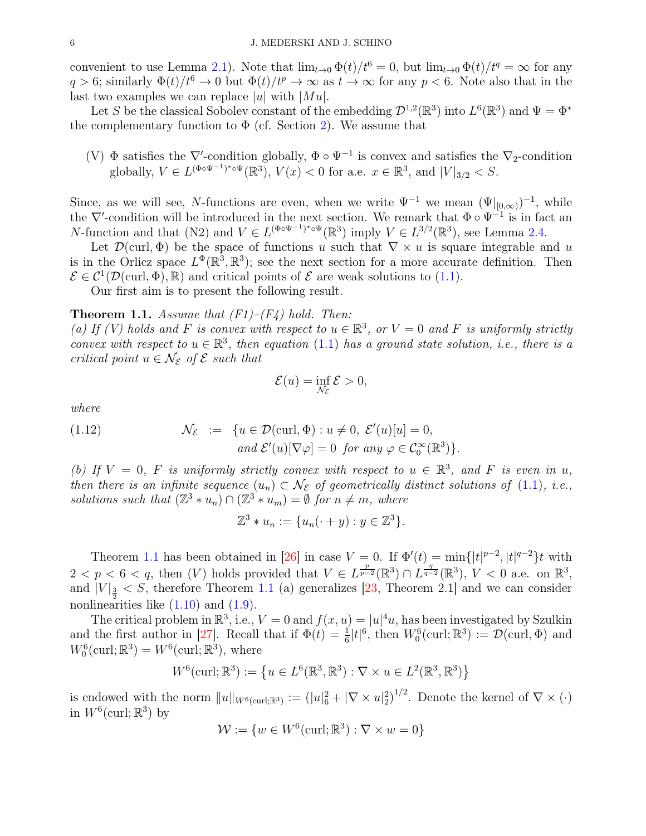convenient to use Lemma [2.1\)](#page-7-0). Note that  $\lim_{t\to 0} \Phi(t)/t^6 = 0$ , but  $\lim_{t\to 0} \Phi(t)/t^q = \infty$  for any  $q > 6$ ; similarly  $\Phi(t)/t^6 \to 0$  but  $\Phi(t)/t^p \to \infty$  as  $t \to \infty$  for any  $p < 6$ . Note also that in the last two examples we can replace |u| with  $|Mu|$ .

Let S be the classical Sobolev constant of the embedding  $\mathcal{D}^{1,2}(\mathbb{R}^3)$  into  $L^6(\mathbb{R}^3)$  and  $\Psi = \Phi^*$ the complementary function to  $\Phi$  (cf. Section [2\)](#page-6-0). We assume that

(V)  $\Phi$  satisfies the  $\nabla'$ -condition globally,  $\Phi \circ \Psi^{-1}$  is convex and satisfies the  $\nabla_2$ -condition globally,  $V \in L^{(\Phi \circ \Psi^{-1})^* \circ \Psi}(\mathbb{R}^3)$ ,  $V(x) < 0$  for a.e.  $x \in \mathbb{R}^3$ , and  $|V|_{3/2} < S$ .

Since, as we will see, N-functions are even, when we write  $\Psi^{-1}$  we mean  $(\Psi|_{[0,\infty)})^{-1}$ , while the  $\nabla'$ -condition will be introduced in the next section. We remark that  $\Phi \circ \Psi^{-1}$  is in fact an N-function and that (N2) and  $V \in L^{(\Phi \circ \Psi^{-1})^* \circ \Psi}(\mathbb{R}^3)$  imply  $V \in L^{3/2}(\mathbb{R}^3)$ , see Lemma [2.4.](#page-9-0)

Let  $\mathcal{D}(\text{curl}, \Phi)$  be the space of functions u such that  $\nabla \times u$  is square integrable and u is in the Orlicz space  $L^{\Phi}(\mathbb{R}^3, \mathbb{R}^3)$ ; see the next section for a more accurate definition. Then  $\mathcal{E} \in \mathcal{C}^1(\mathcal{D}(\text{curl}, \Phi), \mathbb{R})$  and critical points of  $\mathcal{E}$  are weak solutions to [\(1.1\)](#page-0-0).

Our first aim is to present the following result.

## <span id="page-5-1"></span>Theorem 1.1. *Assume that (F1)–(F4) hold. Then:*

(a) If (V) holds and F is convex with respect to  $u \in \mathbb{R}^3$ , or  $V = 0$  and F is uniformly strictly *convex with respect to*  $u \in \mathbb{R}^3$ , *then equation* [\(1.1\)](#page-0-0) *has a ground state solution, i.e., there is a critical point*  $u \in \mathcal{N}_{\mathcal{E}}$  of  $\mathcal{E}$  *such that* 

<span id="page-5-0"></span>
$$
\mathcal{E}(u) = \inf_{\mathcal{N}_{\mathcal{E}}} \mathcal{E} > 0,
$$

*where*

(1.12) 
$$
\mathcal{N}_{\mathcal{E}} := \{ u \in \mathcal{D}(\text{curl}, \Phi) : u \neq 0, \ \mathcal{E}'(u)[u] = 0, \\ \text{and } \mathcal{E}'(u)[\nabla \varphi] = 0 \ \text{ for any } \varphi \in \mathcal{C}_0^{\infty}(\mathbb{R}^3) \}.
$$

(b) If  $V = 0$ , F is uniformly strictly convex with respect to  $u \in \mathbb{R}^3$ , and F is even in u, *then there is an infinite sequence*  $(u_n) \subset \mathcal{N}_{\mathcal{E}}$  *of geometrically distinct solutions of* [\(1.1\)](#page-0-0)*, i.e.*, *solutions such that*  $(\mathbb{Z}^3 * u_n) \cap (\mathbb{Z}^3 * u_m) = \emptyset$  *for*  $n \neq m$ *, where* 

$$
\mathbb{Z}^3 * u_n := \{u_n(\cdot + y) : y \in \mathbb{Z}^3\}.
$$

Theorem [1.1](#page-5-1) has been obtained in [\[26\]](#page-23-22) in case  $V = 0$ . If  $\Phi'(t) = \min\{|t|^{p-2}, |t|^{q-2}\}t$  with  $2 < p < 6 < q$ , then (V) holds provided that  $V \in L^{\frac{p}{p-2}}(\mathbb{R}^3) \cap L^{\frac{q}{q-2}}(\mathbb{R}^3)$ ,  $V < 0$  a.e. on  $\mathbb{R}^3$ , and  $|V|_{\frac{3}{2}} < S$ , therefore Theorem [1.1](#page-5-1) (a) generalizes [\[23,](#page-23-0) Theorem 2.1] and we can consider nonlinearities like  $(1.10)$  and  $(1.9)$ .

The critical problem in  $\mathbb{R}^3$ , i.e.,  $V = 0$  and  $f(x, u) = |u|^4 u$ , has been investigated by Szulkin and the first author in [\[27\]](#page-23-20). Recall that if  $\Phi(t) = \frac{1}{6} |t|^6$ , then  $W_0^6(\text{curl}; \mathbb{R}^3) := \mathcal{D}(\text{curl}, \Phi)$  and  $W_0^6(\text{curl}; \mathbb{R}^3) = W^6(\text{curl}; \mathbb{R}^3)$ , where

$$
W^{6}(\operatorname{curl}; \mathbb{R}^{3}) := \left\{ u \in L^{6}(\mathbb{R}^{3}, \mathbb{R}^{3}) : \nabla \times u \in L^{2}(\mathbb{R}^{3}, \mathbb{R}^{3}) \right\}
$$

is endowed with the norm  $||u||_{W^6(\text{curl};\mathbb{R}^3)} := (|u|^2_6 + |\nabla \times u|^2_2)^{1/2}$ . Denote the kernel of  $\nabla \times (\cdot)$ in  $W^6(\text{curl}; \mathbb{R}^3)$  by

$$
\mathcal{W} := \{ w \in W^6(\text{curl}; \mathbb{R}^3) : \nabla \times w = 0 \}
$$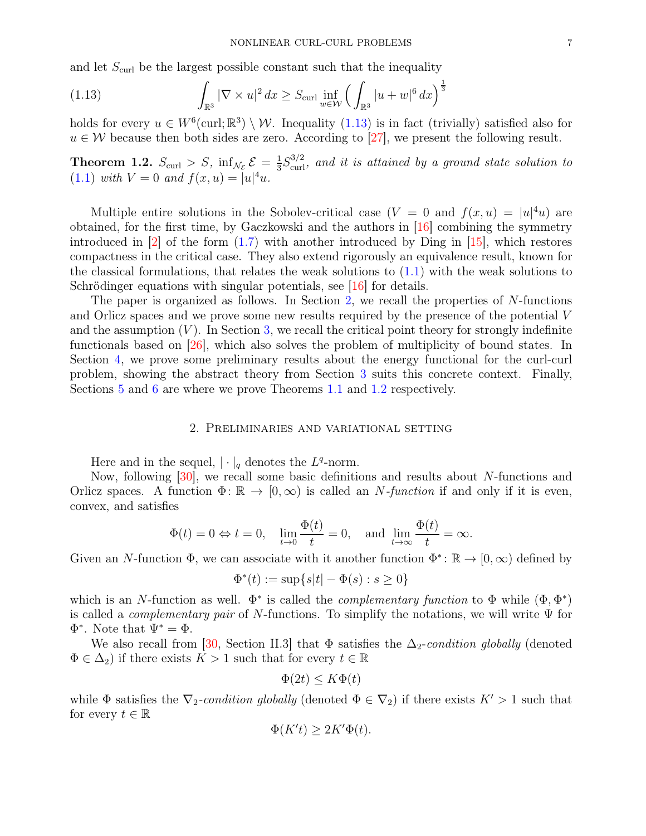and let  $S_{\text{curl}}$  be the largest possible constant such that the inequality

<span id="page-6-1"></span>(1.13) 
$$
\int_{\mathbb{R}^3} |\nabla \times u|^2 dx \ge S_{\text{curl}} \inf_{w \in \mathcal{W}} \left( \int_{\mathbb{R}^3} |u + w|^6 dx \right)^{\frac{1}{3}}
$$

holds for every  $u \in W^6(\text{curl}; \mathbb{R}^3) \setminus \mathcal{W}$ . Inequality [\(1.13\)](#page-6-1) is in fact (trivially) satisfied also for  $u \in \mathcal{W}$  because then both sides are zero. According to [\[27\]](#page-23-20), we present the following result.

<span id="page-6-2"></span>**Theorem 1.2.**  $S_{\text{curl}} > S$ ,  $\inf_{\mathcal{N}_{\mathcal{E}}} \mathcal{E} = \frac{1}{3}$  $\frac{1}{3}S_{\text{curl}}^{3/2}$ , and it is attained by a ground state solution to [\(1.1\)](#page-0-0) *with*  $V = 0$  *and*  $f(x, u) = |u|^4u$ .

Multiple entire solutions in the Sobolev-critical case  $(V = 0$  and  $f(x, u) = |u|^4 u$  are obtained, for the first time, by Gaczkowski and the authors in [\[16\]](#page-23-8) combining the symmetry introduced in  $|2|$  of the form  $(1.7)$  with another introduced by Ding in  $[15]$ , which restores compactness in the critical case. They also extend rigorously an equivalence result, known for the classical formulations, that relates the weak solutions to  $(1.1)$  with the weak solutions to Schrödinger equations with singular potentials, see [\[16\]](#page-23-8) for details.

The paper is organized as follows. In Section [2,](#page-6-0) we recall the properties of  $N$ -functions and Orlicz spaces and we prove some new results required by the presence of the potential V and the assumption  $(V)$ . In Section [3,](#page-11-0) we recall the critical point theory for strongly indefinite functionals based on [\[26\]](#page-23-22), which also solves the problem of multiplicity of bound states. In Section [4,](#page-14-0) we prove some preliminary results about the energy functional for the curl-curl problem, showing the abstract theory from Section [3](#page-11-0) suits this concrete context. Finally, Sections [5](#page-18-0) and [6](#page-21-0) are where we prove Theorems [1.1](#page-5-1) and [1.2](#page-6-2) respectively.

# 2. Preliminaries and variational setting

<span id="page-6-0"></span>Here and in the sequel,  $|\cdot|_q$  denotes the  $L^q$ -norm.

Now, following [\[30\]](#page-23-25), we recall some basic definitions and results about N-functions and Orlicz spaces. A function  $\Phi: \mathbb{R} \to [0, \infty)$  is called an N-function if and only if it is even, convex, and satisfies

$$
\Phi(t) = 0 \Leftrightarrow t = 0, \quad \lim_{t \to 0} \frac{\Phi(t)}{t} = 0, \quad \text{and} \quad \lim_{t \to \infty} \frac{\Phi(t)}{t} = \infty.
$$

Given an N-function  $\Phi$ , we can associate with it another function  $\Phi^* \colon \mathbb{R} \to [0, \infty)$  defined by

$$
\Phi^*(t):=\sup\{s|t|-\Phi(s):s\geq 0\}
$$

which is an N-function as well.  $\Phi^*$  is called the *complementary function* to  $\Phi$  while  $(\Phi, \Phi^*)$ is called a *complementary pair* of N-functions. To simplify the notations, we will write Ψ for  $\Phi^*$ . Note that  $\Psi^* = \Phi$ .

We also recall from [\[30,](#page-23-25) Section II.3] that  $\Phi$  satisfies the  $\Delta_2$ -*condition globally* (denoted  $\Phi \in \Delta_2$ ) if there exists  $K > 1$  such that for every  $t \in \mathbb{R}$ 

$$
\Phi(2t) \le K\Phi(t)
$$

while  $\Phi$  satisfies the  $\nabla_2$ -condition globally (denoted  $\Phi \in \nabla_2$ ) if there exists  $K' > 1$  such that for every  $t \in \mathbb{R}$ 

$$
\Phi(K't) \ge 2K'\Phi(t).
$$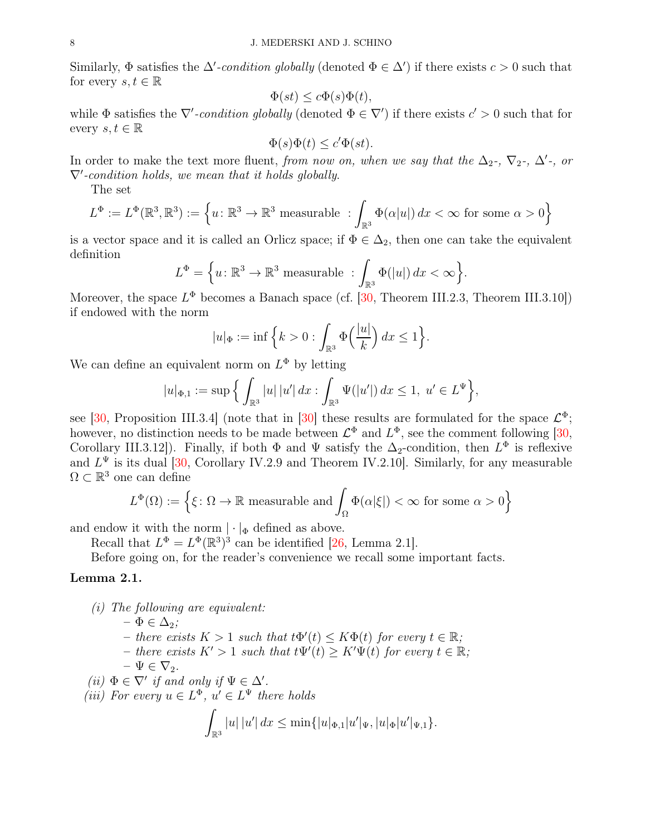Similarly,  $\Phi$  satisfies the  $\Delta'$ -condition globally (denoted  $\Phi \in \Delta'$ ) if there exists  $c > 0$  such that for every  $s, t \in \mathbb{R}$ 

$$
\Phi(st) \le c\Phi(s)\Phi(t),
$$

while  $\Phi$  satisfies the  $\nabla'$ -condition globally (denoted  $\Phi \in \nabla'$ ) if there exists  $c' > 0$  such that for every  $s, t \in \mathbb{R}$ 

$$
\Phi(s)\Phi(t) \le c'\Phi(st).
$$

In order to make the text more fluent, *from now on, when we say that the*  $\Delta_2$ -,  $\nabla_2$ -,  $\Delta'$ -, *or* ∇′ *-condition holds, we mean that it holds globally*.

The set

$$
L^{\Phi} := L^{\Phi}(\mathbb{R}^3, \mathbb{R}^3) := \left\{ u \colon \mathbb{R}^3 \to \mathbb{R}^3 \text{ measurable } : \int_{\mathbb{R}^3} \Phi(\alpha|u|) dx < \infty \text{ for some } \alpha > 0 \right\}
$$

is a vector space and it is called an Orlicz space; if  $\Phi \in \Delta_2$ , then one can take the equivalent definition

$$
L^{\Phi} = \left\{ u : \mathbb{R}^3 \to \mathbb{R}^3 \text{ measurable } : \int_{\mathbb{R}^3} \Phi(|u|) dx < \infty \right\}.
$$

Moreover, the space  $L^{\Phi}$  becomes a Banach space (cf. [\[30,](#page-23-25) Theorem III.2.3, Theorem III.3.10]) if endowed with the norm

$$
|u|_{\Phi} := \inf \left\{ k > 0 : \int_{\mathbb{R}^3} \Phi\left(\frac{|u|}{k}\right) dx \le 1 \right\}.
$$

We can define an equivalent norm on  $L^{\Phi}$  by letting

$$
|u|_{\Phi,1} := \sup \Big\{ \int_{\mathbb{R}^3} |u| \, |u'| \, dx : \int_{\mathbb{R}^3} \Psi(|u'|) \, dx \le 1, \ u' \in L^{\Psi} \Big\},\
$$

see [\[30,](#page-23-25) Proposition III.3.4] (note that in [\[30\]](#page-23-25) these results are formulated for the space  $\mathcal{L}^{\Phi}$ ; however, no distinction needs to be made between  $\mathcal{L}^{\Phi}$  and  $L^{\Phi}$ , see the comment following [\[30,](#page-23-25) Corollary III.3.12]). Finally, if both  $\Phi$  and  $\Psi$  satisfy the  $\Delta_2$ -condition, then  $L^{\Phi}$  is reflexive and  $L^{\Psi}$  is its dual [\[30,](#page-23-25) Corollary IV.2.9 and Theorem IV.2.10]. Similarly, for any measurable  $\Omega \subset \mathbb{R}^3$  one can define

$$
L^{\Phi}(\Omega) := \left\{ \xi \colon \Omega \to \mathbb{R} \text{ measurable and } \int_{\Omega} \Phi(\alpha|\xi|) < \infty \text{ for some } \alpha > 0 \right\}
$$

and endow it with the norm  $|\cdot|_{\Phi}$  defined as above.

Recall that  $L^{\Phi} = L^{\Phi}(\mathbb{R}^3)^3$  can be identified [\[26,](#page-23-22) Lemma 2.1].

Before going on, for the reader's convenience we recall some important facts.

# <span id="page-7-0"></span>Lemma 2.1.

*(i) The following are equivalent:*

 $-\Phi \in \Delta_2;$  $-$  *there exists*  $K > 1$  *such that*  $t\Phi'(t) \leq K\Phi(t)$  *for every*  $t \in \mathbb{R}$ *;*  $-$  *there exists*  $K' > 1$  *such that*  $t\Psi'(t) \geq K'\Psi(t)$  *for every*  $t \in \mathbb{R}$ ;  $-\Psi \in \nabla_2.$ 

- $(iii) \Phi \in \nabla'$  *if and only if*  $\Psi \in \Delta'$ .
- (*iii*) For every  $u \in L^{\Phi}$ ,  $u' \in L^{\Psi}$  there holds

$$
\int_{\mathbb{R}^3} |u| \, |u'| \, dx \le \min\{|u|_{\Phi,1}|u'|_{\Psi}, |u|_{\Phi}|u'|_{\Psi,1}\}.
$$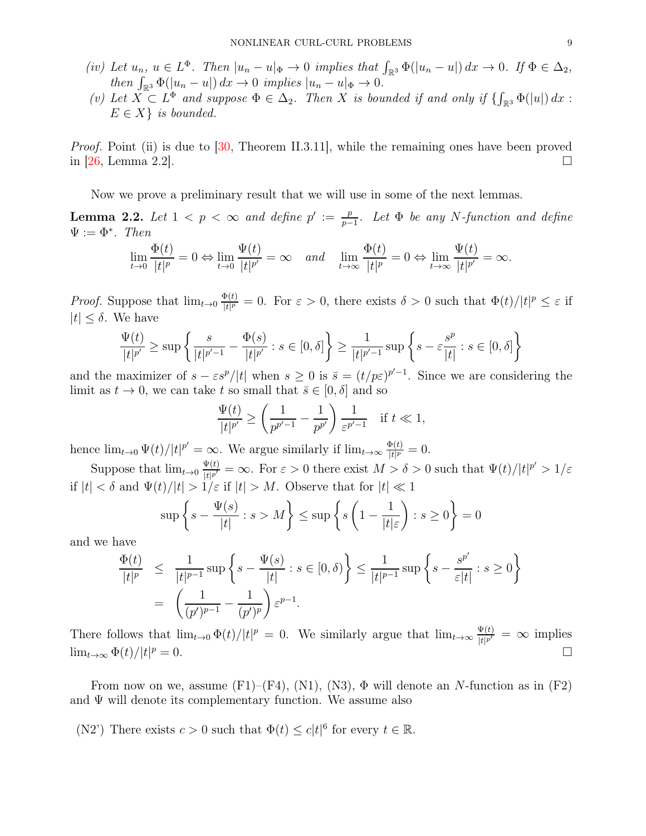- $(iv)$  Let  $u_n, u \in L^{\Phi}$ . Then  $|u_n u|_{\Phi} \to 0$  *implies that*  $\int_{\mathbb{R}^3} \Phi(|u_n u|) dx \to 0$ . If  $\Phi \in \Delta_2$ , *then*  $\int_{\mathbb{R}^3} \Phi(|u_n - u|) dx \to 0$  *implies*  $|u_n - u|_{\Phi} \to 0$ .
- $(v)$  Let  $X \subset L^{\Phi}$  and suppose  $\Phi \in \Delta_2$ . Then X is bounded if and only if  $\{\int_{\mathbb{R}^3} \Phi(|u|) dx$ :  $E \in X$  *is bounded.*

*Proof.* Point (ii) is due to [\[30,](#page-23-25) Theorem II.3.11], while the remaining ones have been proved in [\[26,](#page-23-22) Lemma 2.2].

Now we prove a preliminary result that we will use in some of the next lemmas.

<span id="page-8-0"></span>**Lemma 2.2.** Let  $1 < p < \infty$  and define  $p' := \frac{p}{p-1}$ p−1 *. Let* Φ *be any* N*-function and define*  $\Psi := \Phi^*$ . *Then* 

$$
\lim_{t \to 0} \frac{\Phi(t)}{|t|^p} = 0 \Leftrightarrow \lim_{t \to 0} \frac{\Psi(t)}{|t|^{p'}} = \infty \quad and \quad \lim_{t \to \infty} \frac{\Phi(t)}{|t|^p} = 0 \Leftrightarrow \lim_{t \to \infty} \frac{\Psi(t)}{|t|^{p'}} = \infty.
$$

*Proof.* Suppose that  $\lim_{t\to 0} \frac{\Phi(t)}{|t|^p}$  $\frac{\Phi(t)}{|t|^p} = 0$ . For  $\varepsilon > 0$ , there exists  $\delta > 0$  such that  $\Phi(t)/|t|^p \leq \varepsilon$  if  $|t| \leq \delta$ . We have

$$
\frac{\Psi(t)}{|t|^{p'}} \ge \sup \left\{ \frac{s}{|t|^{p'-1}} - \frac{\Phi(s)}{|t|^{p'}} : s \in [0, \delta] \right\} \ge \frac{1}{|t|^{p'-1}} \sup \left\{ s - \varepsilon \frac{s^p}{|t|} : s \in [0, \delta] \right\}
$$

and the maximizer of  $s - \varepsilon s^p/|t|$  when  $s \ge 0$  is  $\bar{s} = (t/p\varepsilon)^{p'-1}$ . Since we are considering the limit as  $t \to 0$ , we can take t so small that  $\bar{s} \in [0, \delta]$  and so

$$
\frac{\Psi(t)}{|t|^{p'}} \ge \left(\frac{1}{p^{p'-1}} - \frac{1}{p^{p'}}\right) \frac{1}{\varepsilon^{p'-1}} \quad \text{if } t \ll 1,
$$

hence  $\lim_{t\to 0} \Psi(t)/|t|^{p'} = \infty$ . We argue similarly if  $\lim_{t\to\infty} \frac{\Phi(t)}{|t|^{p'}}$  $\frac{\mathbf{P}(t)}{|t|^p} = 0.$ 

Suppose that  $\lim_{t\to 0} \frac{\Psi(t)}{|t|p'}$  $\frac{\Psi(t)}{|t|^{p'}} = \infty$ . For  $\varepsilon > 0$  there exist  $M > \delta > 0$  such that  $\Psi(t)/|t|^{p'} > 1/\varepsilon$ if  $|t| < \delta$  and  $\Psi(t)/|t| > 1/\varepsilon$  if  $|t| > M$ . Observe that for  $|t| \ll 1$ 

$$
\sup \left\{ s - \frac{\Psi(s)}{|t|} : s > M \right\} \le \sup \left\{ s \left( 1 - \frac{1}{|t|\varepsilon} \right) : s \ge 0 \right\} = 0
$$

and we have

$$
\frac{\Phi(t)}{|t|^p} \leq \frac{1}{|t|^{p-1}} \sup \left\{ s - \frac{\Psi(s)}{|t|} : s \in [0, \delta) \right\} \leq \frac{1}{|t|^{p-1}} \sup \left\{ s - \frac{s^{p'}}{\varepsilon |t|} : s \geq 0 \right\}
$$

$$
= \left( \frac{1}{(p')^{p-1}} - \frac{1}{(p')^p} \right) \varepsilon^{p-1}.
$$

There follows that  $\lim_{t\to 0} \Phi(t)/|t|^p = 0$ . We similarly argue that  $\lim_{t\to\infty} \frac{\Psi(t)}{|t|^{p'}}$  $\frac{\Psi(t)}{|t|^{p'}} = \infty$  implies  $\lim_{t\to\infty} \Phi(t)/|t|^p=0.$  $p = 0.$ 

From now on we, assume  $(F1)$ – $(F4)$ ,  $(N1)$ ,  $(N3)$ ,  $\Phi$  will denote an N-function as in  $(F2)$ and  $\Psi$  will denote its complementary function. We assume also

(N2') There exists  $c > 0$  such that  $\Phi(t) \leq c|t|^6$  for every  $t \in \mathbb{R}$ .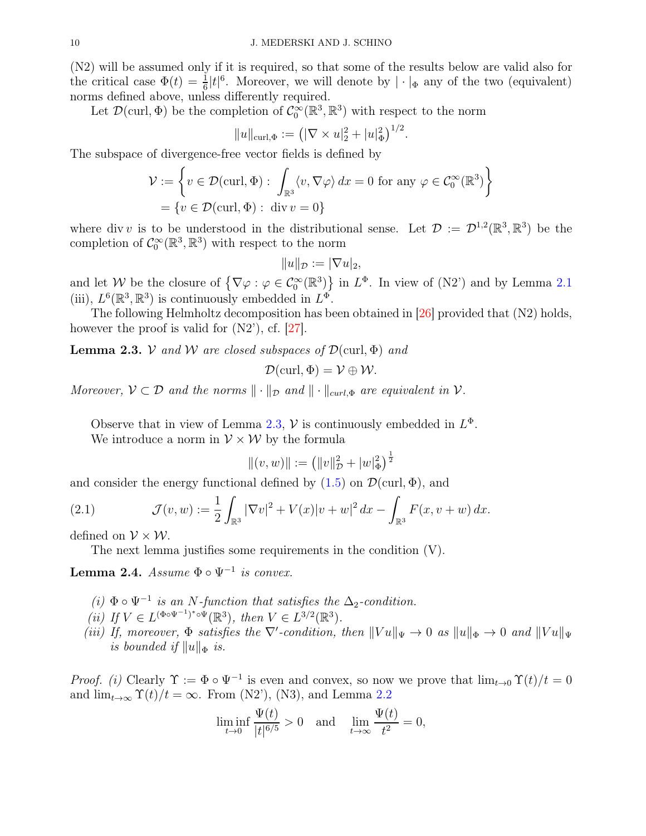(N2) will be assumed only if it is required, so that some of the results below are valid also for the critical case  $\Phi(t) = \frac{1}{6} |t|^6$ . Moreover, we will denote by  $|\cdot|_{\Phi}$  any of the two (equivalent) norms defined above, unless differently required.

Let  $\mathcal{D}(\text{curl}, \Phi)$  be the completion of  $\mathcal{C}_0^{\infty}(\mathbb{R}^3, \mathbb{R}^3)$  with respect to the norm

$$
||u||_{\text{curl},\Phi} := (|\nabla \times u|_2^2 + |u|_{\Phi}^2)^{1/2}.
$$

The subspace of divergence-free vector fields is defined by

$$
\mathcal{V} := \left\{ v \in \mathcal{D}(\text{curl}, \Phi) : \int_{\mathbb{R}^3} \langle v, \nabla \varphi \rangle \, dx = 0 \text{ for any } \varphi \in C_0^{\infty}(\mathbb{R}^3) \right\}
$$
  
=  $\{ v \in \mathcal{D}(\text{curl}, \Phi) : \text{div } v = 0 \}$ 

where div v is to be understood in the distributional sense. Let  $\mathcal{D} := \mathcal{D}^{1,2}(\mathbb{R}^3, \mathbb{R}^3)$  be the completion of  $C_0^{\infty}(\mathbb{R}^3, \mathbb{R}^3)$  with respect to the norm

$$
||u||_{\mathcal{D}} := |\nabla u|_2,
$$

and let W be the closure of  $\{\nabla \varphi : \varphi \in C_0^{\infty}(\mathbb{R}^3)\}\$  in  $L^{\Phi}$ . In view of (N2') and by Lemma [2.1](#page-7-0) (iii),  $L^6(\mathbb{R}^3, \mathbb{R}^3)$  is continuously embedded in  $L^{\Phi}$ .

The following Helmholtz decomposition has been obtained in [\[26\]](#page-23-22) provided that (N2) holds, however the proof is valid for  $(N2^{\prime})$ , cf. [\[27\]](#page-23-20).

<span id="page-9-1"></span>**Lemma 2.3.** V and W are closed subspaces of  $\mathcal{D}(\text{curl}, \Phi)$  and

$$
\mathcal{D}(\operatorname{curl}, \Phi) = \mathcal{V} \oplus \mathcal{W}.
$$

*Moreover,*  $V \subset \mathcal{D}$  *and the norms*  $\|\cdot\|_{\mathcal{D}}$  *and*  $\|\cdot\|_{\text{curl},\Phi}$  *are equivalent in*  $V$ *.* 

Observe that in view of Lemma [2.3,](#page-9-1)  $\mathcal V$  is continuously embedded in  $L^{\Phi}$ . We introduce a norm in  $V \times W$  by the formula

$$
||(v, w)|| := (||v||^2_{\mathcal{D}} + |w|^2_{\Phi})^{\frac{1}{2}}
$$

and consider the energy functional defined by  $(1.5)$  on  $\mathcal{D}(\text{curl}, \Phi)$ , and

(2.1) 
$$
\mathcal{J}(v, w) := \frac{1}{2} \int_{\mathbb{R}^3} |\nabla v|^2 + V(x)|v + w|^2 dx - \int_{\mathbb{R}^3} F(x, v + w) dx.
$$

defined on  $V \times W$ .

<span id="page-9-2"></span>The next lemma justifies some requirements in the condition (V).

<span id="page-9-0"></span>Lemma 2.4.  $Assume \Phi \circ \Psi^{-1}$  is convex.

- $(i)$   $\Phi \circ \Psi^{-1}$  *is an N*-function that satisfies the ∆<sub>2</sub>-condition.
- (*ii*) If  $V \in L^{(\Phi \circ \Psi^{-1})^* \circ \Psi}(\mathbb{R}^3)$ , then  $V \in L^{3/2}(\mathbb{R}^3)$ .
- *(iii) If, moreover,*  $\Phi$  *satisfies the*  $\nabla'$ -condition, then  $||Vu||_{\Psi} \to 0$  *as*  $||u||_{\Phi} \to 0$  *and*  $||Vu||_{\Psi}$ *is bounded if*  $||u||_{\Phi}$  *is.*

*Proof. (i)* Clearly  $\Upsilon := \Phi \circ \Psi^{-1}$  is even and convex, so now we prove that  $\lim_{t\to 0} \Upsilon(t)/t = 0$ and  $\lim_{t\to\infty} \Upsilon(t)/t = \infty$ . From (N2'), (N3), and Lemma [2.2](#page-8-0)

$$
\liminf_{t \to 0} \frac{\Psi(t)}{|t|^{6/5}} > 0 \quad \text{and} \quad \lim_{t \to \infty} \frac{\Psi(t)}{t^2} = 0,
$$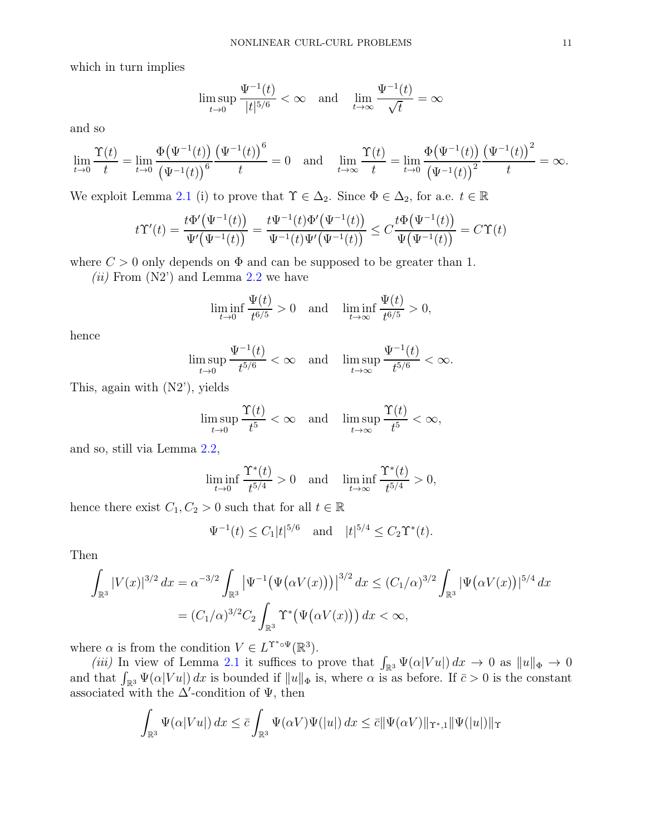which in turn implies

$$
\limsup_{t\to 0}\frac{\Psi^{-1}(t)}{|t|^{5/6}}<\infty\quad\text{and}\quad\lim_{t\to\infty}\frac{\Psi^{-1}(t)}{\sqrt{t}}=\infty
$$

and so

$$
\lim_{t \to 0} \frac{\Upsilon(t)}{t} = \lim_{t \to 0} \frac{\Phi(\Psi^{-1}(t))}{(\Psi^{-1}(t))^{6}} \frac{(\Psi^{-1}(t))^{6}}{t} = 0 \text{ and } \lim_{t \to \infty} \frac{\Upsilon(t)}{t} = \lim_{t \to 0} \frac{\Phi(\Psi^{-1}(t))}{(\Psi^{-1}(t))^{2}} \frac{(\Psi^{-1}(t))^{2}}{t} = \infty.
$$

We exploit Lemma [2.1](#page-7-0) (i) to prove that  $\Upsilon \in \Delta_2$ . Since  $\Phi \in \Delta_2$ , for a.e.  $t \in \mathbb{R}$ 

$$
t\Upsilon'(t)=\frac{t\Phi'\big(\Psi^{-1}(t)\big)}{\Psi'\big(\Psi^{-1}(t)\big)}=\frac{t\Psi^{-1}(t)\Phi'\big(\Psi^{-1}(t)\big)}{\Psi^{-1}(t)\Psi'\big(\Psi^{-1}(t)\big)}\leq C\frac{t\Phi\big(\Psi^{-1}(t)\big)}{\Psi\big(\Psi^{-1}(t)\big)}=C\Upsilon(t)
$$

where  $C > 0$  only depends on  $\Phi$  and can be supposed to be greater than 1.

*(ii)* From (N2') and Lemma [2.2](#page-8-0) we have

$$
\liminf_{t \to 0} \frac{\Psi(t)}{t^{6/5}} > 0 \quad \text{and} \quad \liminf_{t \to \infty} \frac{\Psi(t)}{t^{6/5}} > 0,
$$

hence

$$
\limsup_{t\to 0}\frac{\Psi^{-1}(t)}{t^{5/6}}<\infty\quad\text{and}\quad\limsup_{t\to\infty}\frac{\Psi^{-1}(t)}{t^{5/6}}<\infty.
$$

This, again with (N2'), yields

$$
\limsup_{t \to 0} \frac{\Upsilon(t)}{t^5} < \infty \quad \text{and} \quad \limsup_{t \to \infty} \frac{\Upsilon(t)}{t^5} < \infty,
$$

and so, still via Lemma [2.2,](#page-8-0)

$$
\liminf_{t \to 0} \frac{\Upsilon^*(t)}{t^{5/4}} > 0 \quad \text{and} \quad \liminf_{t \to \infty} \frac{\Upsilon^*(t)}{t^{5/4}} > 0,
$$

hence there exist  $C_1, C_2 > 0$  such that for all  $t \in \mathbb{R}$ 

$$
\Psi^{-1}(t) \le C_1 |t|^{5/6}
$$
 and  $|t|^{5/4} \le C_2 \Upsilon^*(t)$ .

Then

$$
\int_{\mathbb{R}^3} |V(x)|^{3/2} dx = \alpha^{-3/2} \int_{\mathbb{R}^3} \left| \Psi^{-1} \big( \Psi(\alpha V(x)) \big) \right|^{3/2} dx \le (C_1/\alpha)^{3/2} \int_{\mathbb{R}^3} |\Psi(\alpha V(x))|^{5/4} dx
$$
  
=  $(C_1/\alpha)^{3/2} C_2 \int_{\mathbb{R}^3} \Upsilon^* \big( \Psi(\alpha V(x)) \big) dx < \infty,$ 

where  $\alpha$  is from the condition  $V \in L^{\Upsilon^*\circ\Psi}(\mathbb{R}^3)$ .

*(iii)* In view of Lemma [2.1](#page-7-0) it suffices to prove that  $\int_{\mathbb{R}^3} \Psi(\alpha|Vu|) dx \to 0$  as  $||u||_{\Phi} \to 0$ and that  $\int_{\mathbb{R}^3} \Psi(\alpha|Vu|) dx$  is bounded if  $||u||_{\Phi}$  is, where  $\alpha$  is as before. If  $\bar{c} > 0$  is the constant associated with the  $\Delta'$ -condition of  $\Psi$ , then

$$
\int_{\mathbb{R}^3} \Psi(\alpha|Vu|) dx \leq \bar{c} \int_{\mathbb{R}^3} \Psi(\alpha V)\Psi(|u|) dx \leq \bar{c} ||\Psi(\alpha V)||_{\Upsilon^*,1} ||\Psi(|u|)||_{\Upsilon}
$$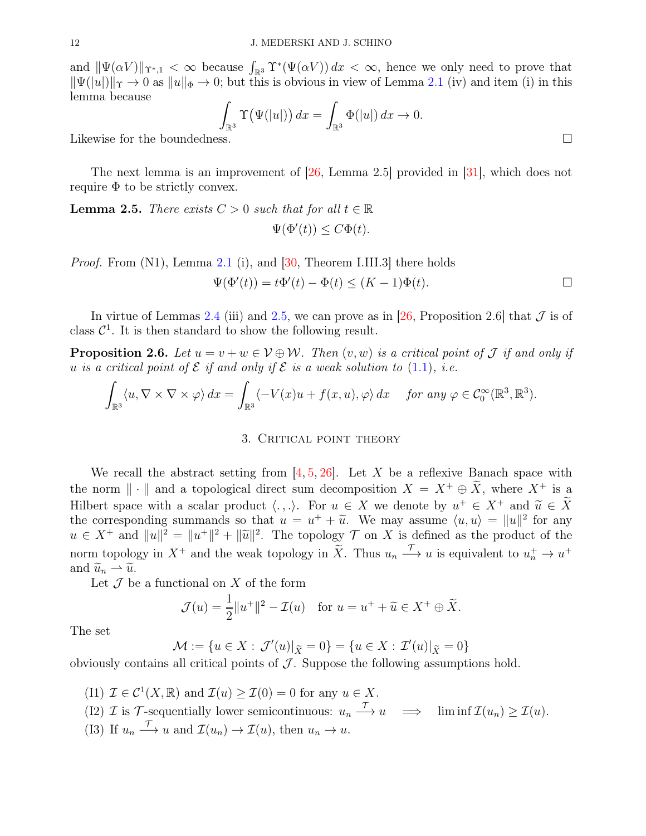and  $\|\Psi(\alpha V)\|_{\Upsilon^*,1} < \infty$  because  $\int_{\mathbb{R}^3} \Upsilon^*(\Psi(\alpha V)) dx < \infty$ , hence we only need to prove that  $\|\Psi(|u|)\|_{\Upsilon} \to 0$  as  $\|u\|_{\Phi} \to 0$ ; but this is obvious in view of Lemma [2.1](#page-7-0) (iv) and item (i) in this lemma because

$$
\int_{\mathbb{R}^3} \Upsilon(\Psi(|u|)) dx = \int_{\mathbb{R}^3} \Phi(|u|) dx \to 0.
$$

Likewise for the boundedne

The next lemma is an improvement of [\[26,](#page-23-22) Lemma 2.5] provided in [\[31\]](#page-23-27), which does not require  $\Phi$  to be strictly convex.

<span id="page-11-1"></span>**Lemma 2.5.** *There exists*  $C > 0$  *such that for all*  $t \in \mathbb{R}$  $\Psi(\Phi'(t)) \leq C\Phi(t).$ 

*Proof.* From (N1), Lemma [2.1](#page-7-0) (i), and [\[30,](#page-23-25) Theorem I.III.3] there holds

$$
\Psi(\Phi'(t)) = t\Phi'(t) - \Phi(t) \le (K - 1)\Phi(t).
$$

In virtue of Lemmas [2.4](#page-9-0) (iii) and [2.5,](#page-11-1) we can prove as in [\[26,](#page-23-22) Proposition 2.6] that  $\mathcal J$  is of class  $C^1$ . It is then standard to show the following result.

**Proposition 2.6.** Let  $u = v + w \in V \oplus W$ . Then  $(v, w)$  is a critical point of  $\mathcal J$  if and only if u *is a critical point of*  $\mathcal E$  *if and only if*  $\mathcal E$  *is a weak solution to* [\(1.1\)](#page-0-0)*, i.e.* 

<span id="page-11-0"></span>
$$
\int_{\mathbb{R}^3} \langle u, \nabla \times \nabla \times \varphi \rangle dx = \int_{\mathbb{R}^3} \langle -V(x)u + f(x, u), \varphi \rangle dx \quad \text{for any } \varphi \in C_0^{\infty}(\mathbb{R}^3, \mathbb{R}^3).
$$

#### 3. CRITICAL POINT THEORY

We recall the abstract setting from  $[4, 5, 26]$  $[4, 5, 26]$  $[4, 5, 26]$  $[4, 5, 26]$ . Let X be a reflexive Banach space with the norm  $\|\cdot\|$  and a topological direct sum decomposition  $X = X^+ \oplus \tilde{X}$ , where  $X^+$  is a Hilbert space with a scalar product  $\langle ., . \rangle$ . For  $u \in X$  we denote by  $u^+ \in X^+$  and  $\tilde{u} \in \tilde{X}$ <br>the convergence is guarantee of the set of  $u^+ + \tilde{u}$ . We gave equive  $\langle u, u \rangle = ||u||^2$  for any the corresponding summands so that  $u = u^+ + \tilde{u}$ . We may assume  $\langle u, u \rangle = ||u||^2$  for any<br> $u \in X^+$  and  $||u||^2 = ||u||^2$ . The topology  $\mathcal{T}$  any  $X$  is defined as the product of the  $u \in X^+$  and  $||u||^2 = ||u^+||^2 + ||\tilde{u}||^2$ . The topology  $\mathcal{T}$  on X is defined as the product of the norm topology in  $X^+$  and the weak topology in  $\widetilde{X}$ . Thus  $u_n \xrightarrow{\mathcal{T}} u$  is equivalent to  $u_n^+ \to u^+$ and  $\widetilde{u}_n \rightharpoonup \widetilde{u}$ .

Let  $\mathcal J$  be a functional on  $X$  of the form

$$
\mathcal{J}(u) = \frac{1}{2}||u^+||^2 - \mathcal{I}(u) \quad \text{for } u = u^+ + \widetilde{u} \in X^+ \oplus \widetilde{X}.
$$

The set

$$
\mathcal{M}:=\{u\in X:\,\mathcal{J}'(u)|_{\widetilde{X}}=0\}=\{u\in X:\,\mathcal{I}'(u)|_{\widetilde{X}}=0\}
$$

obviously contains all critical points of  $\mathcal J$ . Suppose the following assumptions hold.

(I1)  $\mathcal{I} \in \mathcal{C}^1(X, \mathbb{R})$  and  $\mathcal{I}(u) \geq \mathcal{I}(0) = 0$  for any  $u \in X$ . (I2)  $\mathcal I$  is  $\mathcal T$ -sequentially lower semicontinuous:  $u_n \xrightarrow{\mathcal T} u \implies \liminf \mathcal I(u_n) \geq \mathcal I(u)$ . (I3) If  $u_n \xrightarrow{\mathcal{T}} u$  and  $\mathcal{I}(u_n) \to \mathcal{I}(u)$ , then  $u_n \to u$ .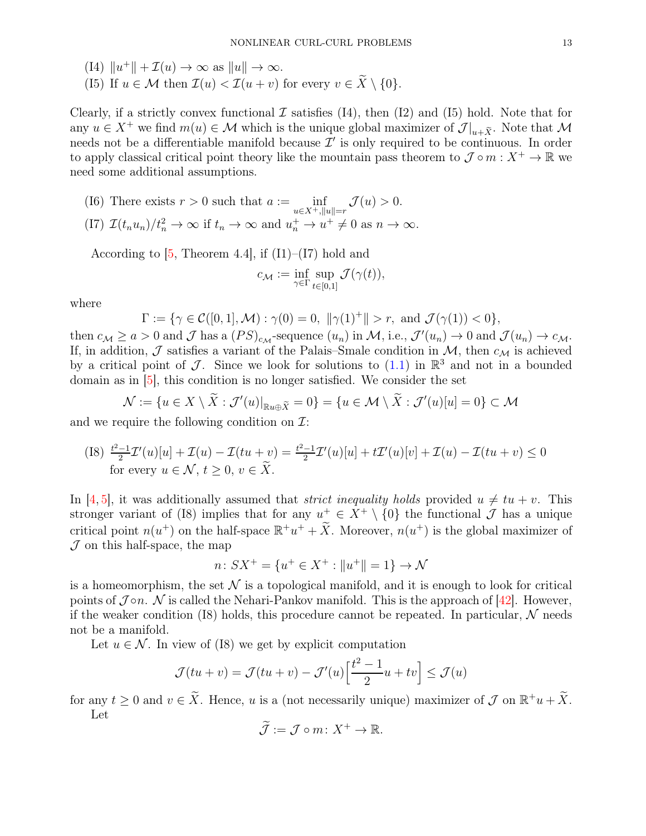(I4)  $||u^+|| + \mathcal{I}(u) \to \infty$  as  $||u|| \to \infty$ .

(I5) If  $u \in \mathcal{M}$  then  $\mathcal{I}(u) < \mathcal{I}(u+v)$  for every  $v \in \widetilde{X} \setminus \{0\}.$ 

Clearly, if a strictly convex functional  $\mathcal I$  satisfies (I4), then (I2) and (I5) hold. Note that for any  $u \in X^+$  we find  $m(u) \in \mathcal{M}$  which is the unique global maximizer of  $\mathcal{J}|_{u+\tilde{X}}$ . Note that  $\mathcal{M}$ needs not be a differentiable manifold because  $\mathcal{I}'$  is only required to be continuous. In order to apply classical critical point theory like the mountain pass theorem to  $\mathcal{J} \circ m : X^+ \to \mathbb{R}$  we need some additional assumptions.

(I6) There exists  $r > 0$  such that  $a := \inf_{u \in X^+, ||u|| = r} \mathcal{J}(u) > 0$ . (I7)  $\mathcal{I}(t_n u_n)/t_n^2 \to \infty$  if  $t_n \to \infty$  and  $u_n^+ \to u^+ \neq 0$  as  $n \to \infty$ .

According to  $[5,$  Theorem 4.4, if  $(11)$ – $(17)$  hold and

$$
c_{\mathcal{M}} := \inf_{\gamma \in \Gamma} \sup_{t \in [0,1]} \mathcal{J}(\gamma(t)),
$$

where

$$
\Gamma := \{ \gamma \in C([0,1], \mathcal{M}) : \gamma(0) = 0, \ ||\gamma(1)^{+}|| > r, \ \text{and} \ \mathcal{J}(\gamma(1)) < 0 \},
$$

then  $c_M \ge a > 0$  and  $\mathcal J$  has a  $(PS)_{c_M}$ -sequence  $(u_n)$  in  $\mathcal M$ , i.e.,  $\mathcal J'(u_n) \to 0$  and  $\mathcal J(u_n) \to c_M$ . If, in addition,  $\mathcal J$  satisfies a variant of the Palais–Smale condition in  $\mathcal M$ , then  $c_{\mathcal M}$  is achieved by a critical point of J. Since we look for solutions to  $(1.1)$  in  $\mathbb{R}^3$  and not in a bounded domain as in [\[5\]](#page-23-12), this condition is no longer satisfied. We consider the set

$$
\mathcal{N} := \{ u \in X \setminus \tilde{X} : \mathcal{J}'(u)|_{\mathbb{R}u \oplus \tilde{X}} = 0 \} = \{ u \in \mathcal{M} \setminus \tilde{X} : \mathcal{J}'(u)[u] = 0 \} \subset \mathcal{M}
$$

and we require the following condition on  $\mathcal{I}$ :

(I8) 
$$
\frac{t^2-1}{2}\mathcal{I}'(u)[u] + \mathcal{I}(u) - \mathcal{I}(tu+v) = \frac{t^2-1}{2}\mathcal{I}'(u)[u] + t\mathcal{I}'(u)[v] + \mathcal{I}(u) - \mathcal{I}(tu+v) \le 0
$$
 for every  $u \in \mathcal{N}$ ,  $t \ge 0$ ,  $v \in \widetilde{X}$ .

In [\[4,](#page-23-11) [5\]](#page-23-12), it was additionally assumed that *strict inequality holds* provided  $u \neq tu + v$ . This stronger variant of (I8) implies that for any  $u^+ \in X^+ \setminus \{0\}$  the functional  $\mathcal J$  has a unique critical point  $n(u^+)$  on the half-space  $\mathbb{R}^+u^+ + \tilde{X}$ . Moreover,  $n(u^+)$  is the global maximizer of  $J$  on this half-space, the map

$$
n: SX^+ = \{u^+ \in X^+ : ||u^+|| = 1\} \to \mathcal{N}
$$

is a homeomorphism, the set  $\mathcal N$  is a topological manifold, and it is enough to look for critical points of  $\mathcal{J} \circ n$ . N is called the Nehari-Pankov manifold. This is the approach of [\[42\]](#page-24-5). However, if the weaker condition (I8) holds, this procedure cannot be repeated. In particular,  $\mathcal N$  needs not be a manifold.

Let  $u \in \mathcal{N}$ . In view of (I8) we get by explicit computation

$$
\mathcal{J}(tu+v) = \mathcal{J}(tu+v) - \mathcal{J}'(u) \left[\frac{t^2-1}{2}u + tv\right] \le \mathcal{J}(u)
$$

for any  $t \geq 0$  and  $v \in \tilde{X}$ . Hence, u is a (not necessarily unique) maximizer of  $\mathcal J$  on  $\mathbb R^+u+\tilde{X}$ . Let

$$
\widetilde{\mathcal{J}} := \mathcal{J} \circ m \colon X^+ \to \mathbb{R}.
$$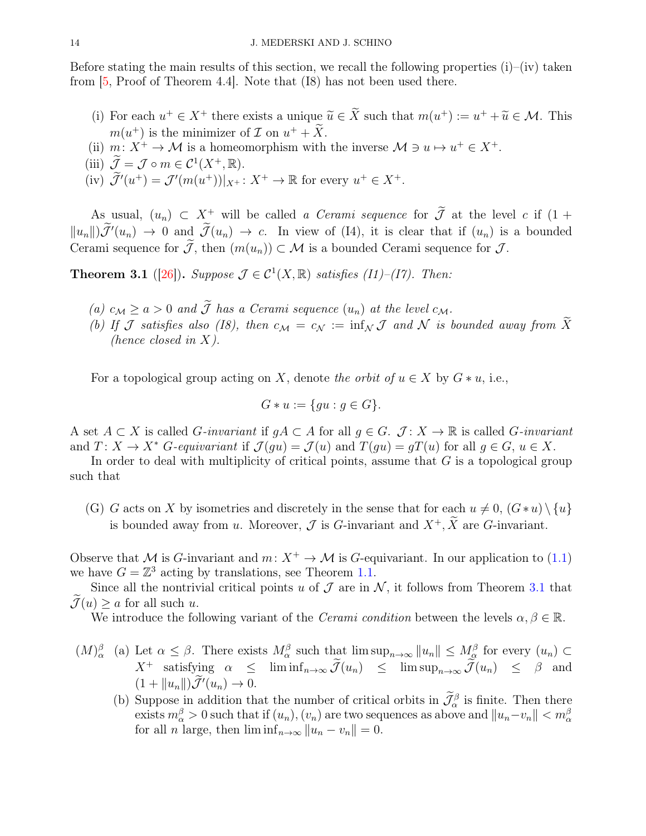Before stating the main results of this section, we recall the following properties  $(i)$ – $(iv)$  taken from [\[5,](#page-23-12) Proof of Theorem 4.4]. Note that (I8) has not been used there.

- (i) For each  $u^+ \in X^+$  there exists a unique  $\widetilde{u} \in \widetilde{X}$  such that  $m(u^+) := u^+ + \widetilde{u} \in \mathcal{M}$ . This  $m(u^+)$  is the minimizer of  $\mathcal I$  on  $u^+ + \overline{X}$ .
- (ii)  $m: X^+ \to \mathcal{M}$  is a homeomorphism with the inverse  $\mathcal{M} \ni u \mapsto u^+ \in X^+$ .
- (iii)  $\widetilde{\mathcal{J}} = \mathcal{J} \circ m \in \mathcal{C}^1(X^+, \mathbb{R}).$
- (iv)  $\widetilde{\mathcal{J}}'(u^+) = \mathcal{J}'(m(u^+))|_{X^+}: X^+ \to \mathbb{R}$  for every  $u^+ \in X^+$ .

As usual,  $(u_n) \subset X^+$  will be called *a Cerami sequence* for  $\widetilde{\mathcal{J}}$  at the level c if  $(1 +$  $||u_n||$   $\mathcal{J}'(u_n) \to 0$  and  $\mathcal{J}(u_n) \to c$ . In view of (I4), it is clear that if  $(u_n)$  is a bounded Cerami sequence for  $\mathcal{J}$ , then  $(m(u_n)) \subset \mathcal{M}$  is a bounded Cerami sequence for  $\mathcal{J}$ .

<span id="page-13-0"></span>**Theorem 3.1** ([\[26\]](#page-23-22)). *Suppose*  $\mathcal{J} \in \mathcal{C}^1(X,\mathbb{R})$  *satisfies* (*I1*)–(*I7*). *Then:* 

- *(a)*  $c_M \ge a > 0$  *and*  $\widetilde{J}$  *has a Cerami sequence*  $(u_n)$  *at the level*  $c_M$ *.*
- *(b)* If J satisfies also (I8), then  $c_M = c_N := \inf_N \mathcal{J}$  and N is bounded away from  $\widetilde{X}$ *(hence closed in* X*).*

For a topological group acting on X, denote the orbit of  $u \in X$  by  $G * u$ , i.e.,

$$
G * u := \{ gu : g \in G \}.
$$

A set  $A \subset X$  is called *G*-invariant if  $qA \subset A$  for all  $q \in G$ . *J* : *X* → R is called *G*-invariant and  $T: X \to X^*$  G-equivariant if  $\mathcal{J}(qu) = \mathcal{J}(u)$  and  $T(gu) = gT(u)$  for all  $g \in G$ ,  $u \in X$ .

In order to deal with multiplicity of critical points, assume that  $G$  is a topological group such that

(G) G acts on X by isometries and discretely in the sense that for each  $u \neq 0$ ,  $(G*u) \setminus \{u\}$ is bounded away from u. Moreover,  $\mathcal J$  is G-invariant and  $X^+$ ,  $\widetilde X$  are G-invariant.

Observe that M is G-invariant and  $m: X^+ \to M$  is G-equivariant. In our application to [\(1.1\)](#page-0-0) we have  $G = \mathbb{Z}^3$  acting by translations, see Theorem [1.1.](#page-5-1)

Since all the nontrivial critical points u of  $\mathcal J$  are in  $\mathcal N$ , it follows from Theorem [3.1](#page-13-0) that  $\mathcal{J}(u) \geq a$  for all such u.

We introduce the following variant of the *Cerami condition* between the levels  $\alpha, \beta \in \mathbb{R}$ .

- $(M)_{\alpha}^{\beta}$  (a) Let  $\alpha \leq \beta$ . There exists  $M_{\alpha}^{\beta}$  such that  $\limsup_{n\to\infty} ||u_n|| \leq M_{\alpha}^{\beta}$  for every  $(u_n) \subset$  $X^+$  satisfying  $\alpha \leq \liminf_{n\to\infty} \widetilde{\mathcal{J}}(u_n) \leq \limsup_{n\to\infty} \widetilde{\mathcal{J}}(u_n) \leq \beta$  and  $(1 + ||u_n||)\tilde{\mathcal{J}}'(u_n) \to 0.$ 
	- (b) Suppose in addition that the number of critical orbits in  $\mathcal{J}_{\alpha}^{\beta}$  is finite. Then there exists  $m_{\alpha}^{\beta} > 0$  such that if  $(u_n)$ ,  $(v_n)$  are two sequences as above and  $||u_n - v_n|| < m_{\alpha}^{\beta}$ for all *n* large, then  $\liminf_{n\to\infty} ||u_n - v_n|| = 0.$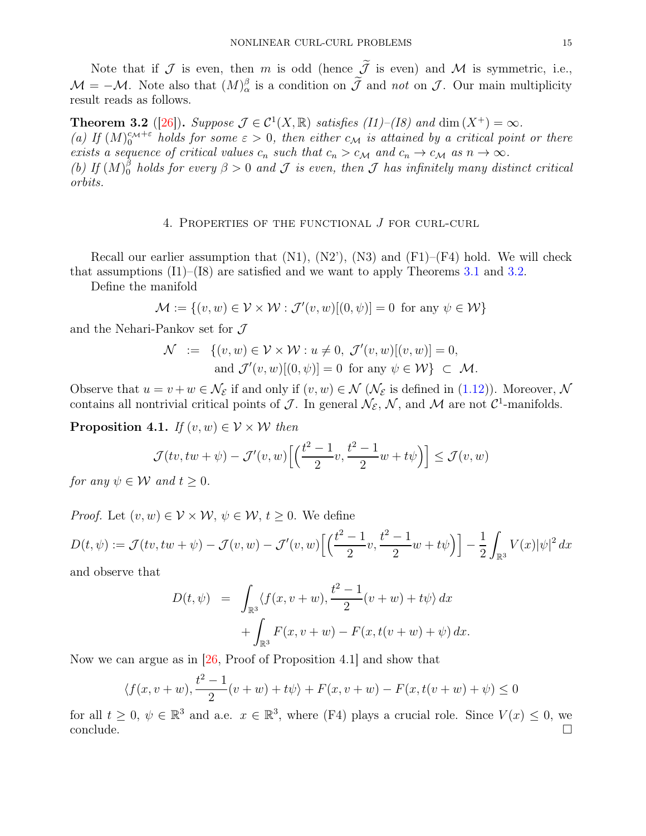Note that if  $\mathcal J$  is even, then m is odd (hence  $\tilde{\mathcal J}$  is even) and  $\mathcal M$  is symmetric, i.e.,  $\mathcal{M} = -\mathcal{M}$ . Note also that  $(M)_{\alpha}^{\beta}$  is a condition on  $\bar{\mathcal{J}}$  and *not* on  $\bar{\mathcal{J}}$ . Our main multiplicity result reads as follows.

<span id="page-14-1"></span>**Theorem 3.2** ([\[26\]](#page-23-22)). *Suppose*  $\mathcal{J} \in \mathcal{C}^1(X,\mathbb{R})$  *satisfies (I1)–(I8)* and dim  $(X^+) = \infty$ . (a) If  $(M)_0^{c_M+\varepsilon}$  holds for some  $\varepsilon > 0$ , then either  $c_M$  is attained by a critical point or there *exists a sequence of critical values*  $c_n$  *such that*  $c_n > c_M$  *and*  $c_n \to c_M$  *as*  $n \to \infty$ *.* (b) If  $(M)_{0}^{\beta}$  holds for every  $\beta > 0$  and  $\mathcal{J}$  is even, then  $\mathcal{J}$  has infinitely many distinct critical *orbits.*

# 4. Properties of the functional J for curl-curl

<span id="page-14-0"></span>Recall our earlier assumption that  $(N1)$ ,  $(N2)$ ,  $(N3)$  and  $(F1)$ – $(F4)$  hold. We will check that assumptions  $(I1)$ – $(I8)$  are satisfied and we want to apply Theorems [3.1](#page-13-0) and [3.2.](#page-14-1)

Define the manifold

$$
\mathcal{M} := \{(v, w) \in \mathcal{V} \times \mathcal{W} : \mathcal{J}'(v, w)[(0, \psi)] = 0 \text{ for any } \psi \in \mathcal{W}\}\
$$

and the Nehari-Pankov set for  $\mathcal J$ 

$$
\mathcal{N} := \{ (v, w) \in \mathcal{V} \times \mathcal{W} : u \neq 0, \ \mathcal{J}'(v, w)[(v, w)] = 0, \\ \text{and } \mathcal{J}'(v, w)[(0, \psi)] = 0 \ \text{ for any } \psi \in \mathcal{W} \} \subset \mathcal{M}.
$$

Observe that  $u = v + w \in \mathcal{N}_{\mathcal{E}}$  if and only if  $(v, w) \in \mathcal{N}$  ( $\mathcal{N}_{\mathcal{E}}$  is defined in [\(1.12\)](#page-5-0)). Moreover,  $\mathcal{N}$ contains all nontrivial critical points of  $\mathcal{J}$ . In general  $\mathcal{N}_{\mathcal{E}}, \mathcal{N}$ , and  $\mathcal{M}$  are not  $\mathcal{C}^1$ -manifolds.

<span id="page-14-2"></span>**Proposition 4.1.** *If*  $(v, w) \in V \times W$  *then* 

$$
\mathcal{J}(tv, tw + \psi) - \mathcal{J}'(v, w) \left[ \left( \frac{t^2 - 1}{2} v, \frac{t^2 - 1}{2} w + t \psi \right) \right] \le \mathcal{J}(v, w)
$$

*for any*  $\psi \in \mathcal{W}$  *and*  $t \geq 0$ *.* 

*Proof.* Let  $(v, w) \in V \times W$ ,  $\psi \in W$ ,  $t \geq 0$ . We define

$$
D(t, \psi) := \mathcal{J}(tv, tw + \psi) - \mathcal{J}(v, w) - \mathcal{J}'(v, w) \left[ \left( \frac{t^2 - 1}{2} v, \frac{t^2 - 1}{2} w + t \psi \right) \right] - \frac{1}{2} \int_{\mathbb{R}^3} V(x) |\psi|^2 dx
$$

and observe that

$$
D(t, \psi) = \int_{\mathbb{R}^3} \langle f(x, v + w), \frac{t^2 - 1}{2} (v + w) + t \psi \rangle dx + \int_{\mathbb{R}^3} F(x, v + w) - F(x, t(v + w) + \psi) dx.
$$

Now we can argue as in [\[26,](#page-23-22) Proof of Proposition 4.1] and show that

$$
\langle f(x, v+w), \frac{t^2 - 1}{2}(v+w) + t\psi \rangle + F(x, v+w) - F(x, t(v+w) + \psi) \le 0
$$

for all  $t \geq 0$ ,  $\psi \in \mathbb{R}^3$  and a.e.  $x \in \mathbb{R}^3$ , where (F4) plays a crucial role. Since  $V(x) \leq 0$ , we  $\Box$ conclude.  $\Box$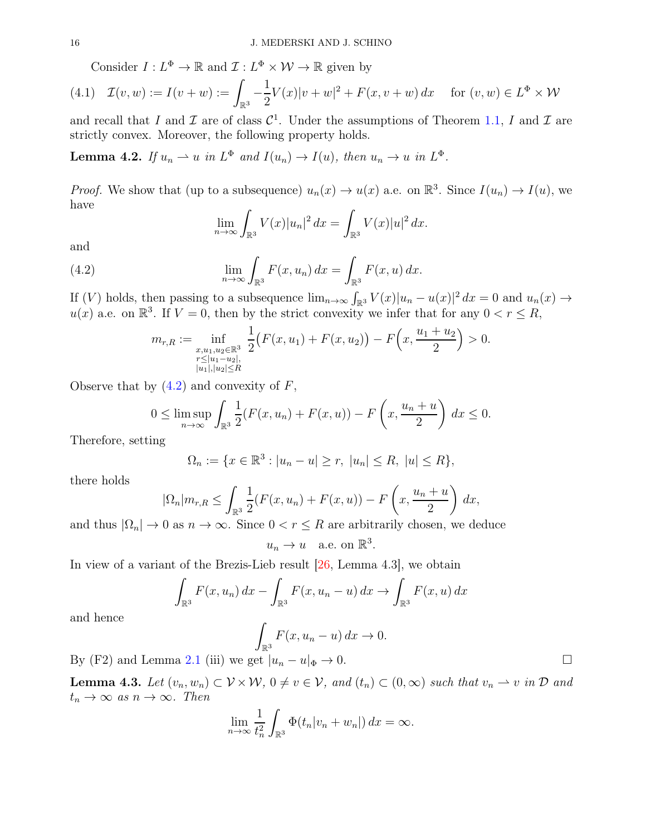<span id="page-15-1"></span>Consider  $I: L^{\Phi} \to \mathbb{R}$  and  $\mathcal{I}: L^{\Phi} \times \mathcal{W} \to \mathbb{R}$  given by

$$
(4.1) \quad \mathcal{I}(v, w) := I(v + w) := \int_{\mathbb{R}^3} -\frac{1}{2} V(x) |v + w|^2 + F(x, v + w) \, dx \quad \text{ for } (v, w) \in L^{\Phi} \times \mathcal{W}
$$

and recall that I and I are of class  $\mathcal{C}^1$ . Under the assumptions of Theorem [1.1,](#page-5-1) I and I are strictly convex. Moreover, the following property holds.

<span id="page-15-2"></span>**Lemma 4.2.** If  $u_n \rightharpoonup u$  in  $L^{\Phi}$  and  $I(u_n) \rightarrow I(u)$ , then  $u_n \rightarrow u$  in  $L^{\Phi}$ .

*Proof.* We show that (up to a subsequence)  $u_n(x) \to u(x)$  a.e. on  $\mathbb{R}^3$ . Since  $I(u_n) \to I(u)$ , we have

<span id="page-15-0"></span>
$$
\lim_{n \to \infty} \int_{\mathbb{R}^3} V(x) |u_n|^2 dx = \int_{\mathbb{R}^3} V(x) |u|^2 dx.
$$

and

(4.2) 
$$
\lim_{n \to \infty} \int_{\mathbb{R}^3} F(x, u_n) dx = \int_{\mathbb{R}^3} F(x, u) dx.
$$

If (V) holds, then passing to a subsequence  $\lim_{n\to\infty} \int_{\mathbb{R}^3} V(x) |u_n - u(x)|^2 dx = 0$  and  $u_n(x) \to$  $u(x)$  a.e. on  $\mathbb{R}^3$ . If  $V = 0$ , then by the strict convexity we infer that for any  $0 < r \le R$ ,

$$
m_{r,R} := \inf_{\substack{x,u_1,u_2 \in \mathbb{R}^3 \\ r \le |u_1-u_2|, \\ |u_1|, |u_2| \le R}} \frac{1}{2} \big( F(x,u_1) + F(x,u_2) \big) - F\left(x, \frac{u_1 + u_2}{2}\right) > 0.
$$

Observe that by  $(4.2)$  and convexity of  $F$ ,

$$
0 \leq \limsup_{n \to \infty} \int_{\mathbb{R}^3} \frac{1}{2} (F(x, u_n) + F(x, u)) - F\left(x, \frac{u_n + u}{2}\right) dx \leq 0.
$$

Therefore, setting

$$
\Omega_n := \{ x \in \mathbb{R}^3 : |u_n - u| \ge r, \ |u_n| \le R, \ |u| \le R \},\
$$

there holds

$$
|\Omega_n|m_{r,R} \leq \int_{\mathbb{R}^3} \frac{1}{2} (F(x, u_n) + F(x, u)) - F\left(x, \frac{u_n + u}{2}\right) dx,
$$

and thus  $|\Omega_n| \to 0$  as  $n \to \infty$ . Since  $0 < r \leq R$  are arbitrarily chosen, we deduce

$$
u_n \to u \quad \text{a.e. on } \mathbb{R}^3.
$$

In view of a variant of the Brezis-Lieb result [\[26,](#page-23-22) Lemma 4.3], we obtain

$$
\int_{\mathbb{R}^3} F(x, u_n) dx - \int_{\mathbb{R}^3} F(x, u_n - u) dx \rightarrow \int_{\mathbb{R}^3} F(x, u) dx
$$

and hence

$$
\int_{\mathbb{R}^3} F(x, u_n - u) \, dx \to 0.
$$

By (F2) and Lemma [2.1](#page-7-0) (iii) we get  $|u_n - u|_{\Phi} \to 0$ .

<span id="page-15-3"></span>**Lemma 4.3.** Let  $(v_n, w_n) \subset \mathcal{V} \times \mathcal{W}$ ,  $0 \neq v \in \mathcal{V}$ , and  $(t_n) \subset (0, \infty)$  such that  $v_n \rightharpoonup v$  in  $\mathcal{D}$  and  $t_n \to \infty$  *as*  $n \to \infty$ *. Then* 

$$
\lim_{n \to \infty} \frac{1}{t_n^2} \int_{\mathbb{R}^3} \Phi(t_n | v_n + w_n|) \, dx = \infty.
$$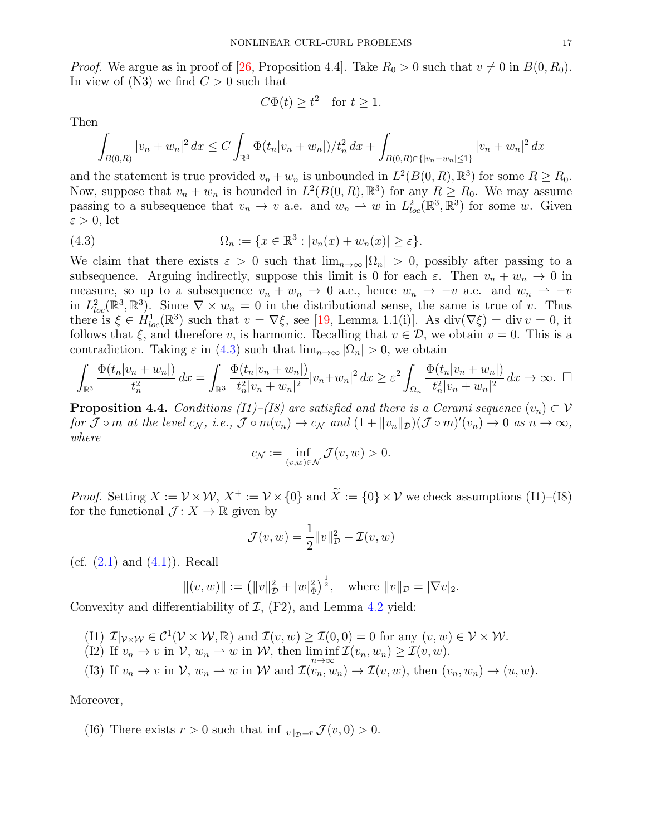*Proof.* We argue as in proof of [\[26,](#page-23-22) Proposition 4.4]. Take  $R_0 > 0$  such that  $v \neq 0$  in  $B(0, R_0)$ . In view of  $(N3)$  we find  $C > 0$  such that

<span id="page-16-0"></span>
$$
C\Phi(t) \ge t^2 \quad \text{for } t \ge 1.
$$

Then

$$
\int_{B(0,R)} |v_n + w_n|^2 dx \le C \int_{\mathbb{R}^3} \Phi(t_n |v_n + w_n|) / t_n^2 dx + \int_{B(0,R) \cap \{|v_n + w_n| \le 1\}} |v_n + w_n|^2 dx
$$

and the statement is true provided  $v_n + w_n$  is unbounded in  $L^2(B(0,R), \mathbb{R}^3)$  for some  $R \ge R_0$ . Now, suppose that  $v_n + w_n$  is bounded in  $L^2(B(0,R), \mathbb{R}^3)$  for any  $R \ge R_0$ . We may assume passing to a subsequence that  $v_n \to v$  a.e. and  $w_n \to w$  in  $L^2_{loc}(\mathbb{R}^3, \mathbb{R}^3)$  for some w. Given  $\varepsilon > 0$ , let

(4.3) 
$$
\Omega_n := \{x \in \mathbb{R}^3 : |v_n(x) + w_n(x)| \ge \varepsilon\}.
$$

We claim that there exists  $\varepsilon > 0$  such that  $\lim_{n\to\infty} |\Omega_n| > 0$ , possibly after passing to a subsequence. Arguing indirectly, suppose this limit is 0 for each  $\varepsilon$ . Then  $v_n + w_n \to 0$  in measure, so up to a subsequence  $v_n + w_n \to 0$  a.e., hence  $w_n \to -v$  a.e. and  $w_n \to -v$ in  $L^2_{loc}(\mathbb{R}^3, \mathbb{R}^3)$ . Since  $\nabla \times w_n = 0$  in the distributional sense, the same is true of v. Thus there is  $\xi \in H_{loc}^1(\mathbb{R}^3)$  such that  $v = \nabla \xi$ , see [\[19,](#page-23-28) Lemma 1.1(i)]. As  $\text{div}(\nabla \xi) = \text{div } v = 0$ , it follows that  $\xi$ , and therefore v, is harmonic. Recalling that  $v \in \mathcal{D}$ , we obtain  $v = 0$ . This is a contradiction. Taking  $\varepsilon$  in [\(4.3\)](#page-16-0) such that  $\lim_{n\to\infty} |\Omega_n| > 0$ , we obtain

$$
\int_{\mathbb{R}^3} \frac{\Phi(t_n|v_n+w_n|)}{t_n^2} dx = \int_{\mathbb{R}^3} \frac{\Phi(t_n|v_n+w_n|)}{t_n^2|v_n+w_n|^2} |v_n+w_n|^2 dx \geq \varepsilon^2 \int_{\Omega_n} \frac{\Phi(t_n|v_n+w_n|)}{t_n^2|v_n+w_n|^2} dx \to \infty. \quad \Box
$$

<span id="page-16-1"></span>**Proposition 4.4.** *Conditions (I1)–(I8) are satisfied and there is a Cerami sequence*  $(v_n) \subset V$  $for \mathcal{J} \circ m$  *at the level*  $c_N$ *, i.e.,*  $\mathcal{J} \circ m(v_n) \to c_N$  *and*  $(1 + ||v_n||_{\mathcal{D}})(\mathcal{J} \circ m)'(v_n) \to 0$  *as*  $n \to \infty$ *, where*

$$
c_{\mathcal{N}} := \inf_{(v,w)\in\mathcal{N}} \mathcal{J}(v,w) > 0.
$$

*Proof.* Setting  $X := \mathcal{V} \times \mathcal{W}$ ,  $X^+ := \mathcal{V} \times \{0\}$  and  $\widetilde{X} := \{0\} \times \mathcal{V}$  we check assumptions (I1)–(I8) for the functional  $\mathcal{J}: X \to \mathbb{R}$  given by

$$
\mathcal{J}(v, w) = \frac{1}{2} ||v||_{\mathcal{D}}^2 - \mathcal{I}(v, w)
$$

(cf.  $(2.1)$  and  $(4.1)$ ). Recall

$$
||(v, w)|| := (||v||^2_{\mathcal{D}} + |w|^2_{\Phi})^{\frac{1}{2}}, \text{ where } ||v||_{\mathcal{D}} = |\nabla v|_2.
$$

Convexity and differentiability of  $I$ ,  $(F2)$ , and Lemma [4.2](#page-15-2) yield:

- (I1)  $\mathcal{I}|_{\mathcal{V}\times\mathcal{W}}\in\mathcal{C}^1(\mathcal{V}\times\mathcal{W},\mathbb{R})$  and  $\mathcal{I}(v,w)\geq \mathcal{I}(0,0)=0$  for any  $(v,w)\in\mathcal{V}\times\mathcal{W}$ .
- (I2) If  $v_n \to v$  in  $\mathcal{V}, w_n \to w$  in  $\mathcal{W},$  then  $\liminf_{n \to \infty} \mathcal{I}(v_n, w_n) \geq \mathcal{I}(v, w)$ .
- (I3) If  $v_n \to v$  in  $\mathcal{V}, w_n \to w$  in  $\mathcal{W}$  and  $\mathcal{I}(v_n, w_n) \to \mathcal{I}(v, w)$ , then  $(v_n, w_n) \to (u, w)$ .

Moreover,

(I6) There exists  $r > 0$  such that  $\inf_{\|v\|_{\mathcal{D}}=r} \mathcal{J}(v, 0) > 0$ .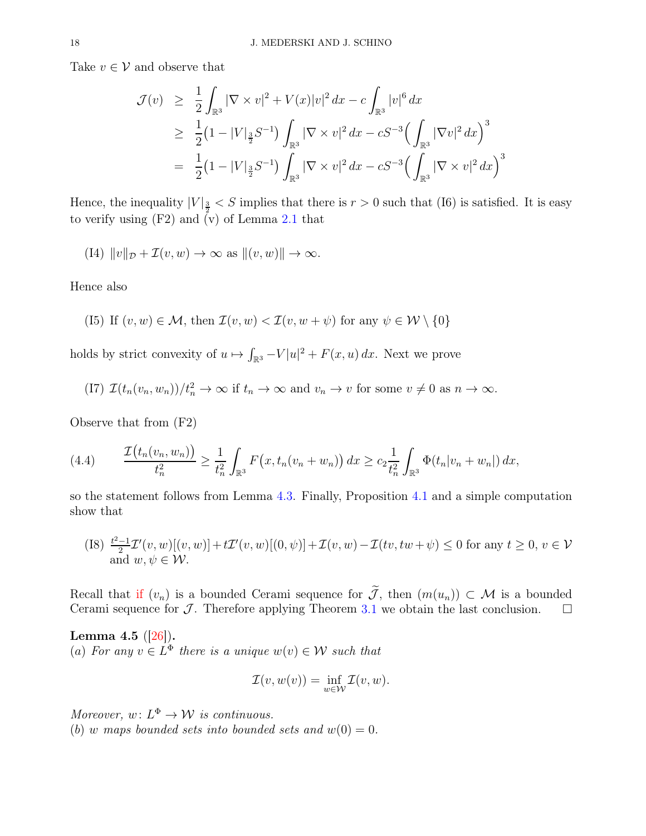Take  $v \in V$  and observe that

$$
\mathcal{J}(v) \geq \frac{1}{2} \int_{\mathbb{R}^3} |\nabla \times v|^2 + V(x)|v|^2 dx - c \int_{\mathbb{R}^3} |v|^6 dx
$$
  
\n
$$
\geq \frac{1}{2} (1 - |V|_{\frac{3}{2}} S^{-1}) \int_{\mathbb{R}^3} |\nabla \times v|^2 dx - cS^{-3} \Big( \int_{\mathbb{R}^3} |\nabla v|^2 dx \Big)^3
$$
  
\n
$$
= \frac{1}{2} (1 - |V|_{\frac{3}{2}} S^{-1}) \int_{\mathbb{R}^3} |\nabla \times v|^2 dx - cS^{-3} \Big( \int_{\mathbb{R}^3} |\nabla \times v|^2 dx \Big)^3
$$

Hence, the inequality  $|V|_{\frac{3}{2}} < S$  implies that there is  $r > 0$  such that (I6) is satisfied. It is easy to verify using  $(F2)$  and  $(y)$  of Lemma [2.1](#page-7-0) that

(I4) 
$$
||v||_{\mathcal{D}} + \mathcal{I}(v, w) \to \infty
$$
 as  $||(v, w)|| \to \infty$ .

Hence also

(I5) If 
$$
(v, w) \in \mathcal{M}
$$
, then  $\mathcal{I}(v, w) < \mathcal{I}(v, w + \psi)$  for any  $\psi \in \mathcal{W} \setminus \{0\}$ 

holds by strict convexity of  $u \mapsto \int_{\mathbb{R}^3} -V |u|^2 + F(x, u) dx$ . Next we prove

(17) 
$$
\mathcal{I}(t_n(v_n, w_n))/t_n^2 \to \infty
$$
 if  $t_n \to \infty$  and  $v_n \to v$  for some  $v \neq 0$  as  $n \to \infty$ .

Observe that from (F2)

<span id="page-17-1"></span>
$$
(4.4) \qquad \frac{\mathcal{I}\big(t_n(v_n, w_n)\big)}{t_n^2} \ge \frac{1}{t_n^2} \int_{\mathbb{R}^3} F\big(x, t_n(v_n + w_n)\big) \, dx \ge c_2 \frac{1}{t_n^2} \int_{\mathbb{R}^3} \Phi(t_n|v_n + w_n|) \, dx,
$$

so the statement follows from Lemma [4.3.](#page-15-3) Finally, Proposition [4.1](#page-14-2) and a simple computation show that

(I8) 
$$
\frac{t^2-1}{2}\mathcal{I}'(v,w)[(v,w)]+t\mathcal{I}'(v,w)[(0,\psi)]+\mathcal{I}(v,w)-\mathcal{I}(tv,tw+\psi)\leq 0
$$
 for any  $t\geq 0, v\in\mathcal{V}$  and  $w,\psi\in\mathcal{W}$ .

Recall that if  $(v_n)$  is a bounded Cerami sequence for  $\tilde{J}$ , then  $(m(u_n)) \subset M$  is a bounded Cerami sequence for  $J$ . Therefore applying Theorem 3.1 we obtain the last conclusion. Cerami sequence for  $J$ . Therefore applying Theorem [3.1](#page-13-0) we obtain the last conclusion.

<span id="page-17-0"></span>Lemma 4.5  $([26])$  $([26])$  $([26])$ . (a) For any  $v \in L^{\Phi}$  there is a unique  $w(v) \in W$  such that

$$
\mathcal{I}(v, w(v)) = \inf_{w \in \mathcal{W}} \mathcal{I}(v, w).
$$

*Moreover,*  $w: L^{\Phi} \to \mathcal{W}$  *is continuous.* (b) w maps bounded sets into bounded sets and  $w(0) = 0$ .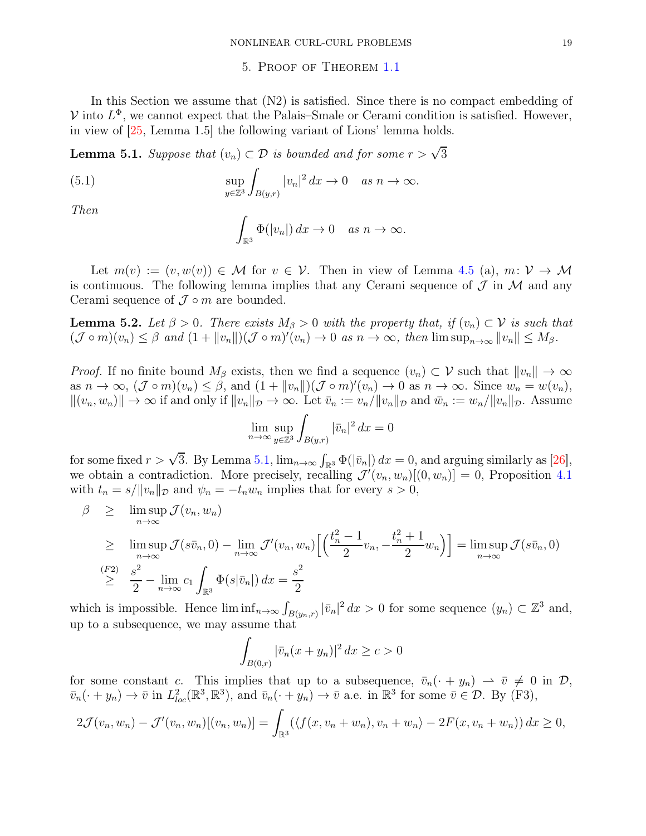# 5. Proof of Theorem [1.1](#page-5-1)

<span id="page-18-0"></span>In this Section we assume that  $(N2)$  is satisfied. Since there is no compact embedding of  $V$  into  $L^{\Phi}$ , we cannot expect that the Palais–Smale or Cerami condition is satisfied. However, in view of [\[25,](#page-23-29) Lemma 1.5] the following variant of Lions' lemma holds.

<span id="page-18-1"></span>**Lemma 5.1.** *Suppose that*  $(v_n) \subset \mathcal{D}$  *is bounded and for some*  $r > \sqrt{3}$ 

(5.1) 
$$
\sup_{y\in\mathbb{Z}^3} \int_{B(y,r)} |v_n|^2 dx \to 0 \quad as \quad n \to \infty.
$$

*Then*

$$
\int_{\mathbb{R}^3} \Phi(|v_n|) dx \to 0 \quad as \; n \to \infty.
$$

Let  $m(v) := (v, w(v)) \in M$  for  $v \in V$ . Then in view of Lemma [4.5](#page-17-0) (a),  $m: V \to M$ is continuous. The following lemma implies that any Cerami sequence of  $\mathcal J$  in  $\mathcal M$  and any Cerami sequence of  $\mathcal J \circ m$  are bounded.

<span id="page-18-2"></span>**Lemma 5.2.** Let  $\beta > 0$ . There exists  $M_{\beta} > 0$  with the property that, if  $(v_n) \subset \mathcal{V}$  is such that  $(\mathcal{J} \circ m)(v_n) \leq \beta$  and  $(1 + ||v_n||)(\mathcal{J} \circ m)'(v_n) \to 0$  as  $n \to \infty$ , then  $\limsup_{n \to \infty} ||v_n|| \leq M_{\beta}$ .

*Proof.* If no finite bound  $M_\beta$  exists, then we find a sequence  $(v_n) \subset \mathcal{V}$  such that  $||v_n|| \to \infty$ as  $n \to \infty$ ,  $(\mathcal{J} \circ m)(v_n) \leq \beta$ , and  $(1 + ||v_n||)(\mathcal{J} \circ m)'(v_n) \to 0$  as  $n \to \infty$ . Since  $w_n = w(v_n)$ ,  $||(v_n, w_n)|| \to \infty$  if and only if  $||v_n||_{\mathcal{D}} \to \infty$ . Let  $\bar{v}_n := v_n/||v_n||_{\mathcal{D}}$  and  $\bar{w}_n := w_n/||v_n||_{\mathcal{D}}$ . Assume

$$
\lim_{n\to\infty}\sup_{y\in\mathbb{Z}^3}\int_{B(y,r)}|\bar{v}_n|^2\,dx=0
$$

for some fixed  $r > \sqrt{3}$ . By Lemma [5.1,](#page-18-1)  $\lim_{n\to\infty} \int_{\mathbb{R}^3} \Phi(|\bar{v}_n|) dx = 0$ , and arguing similarly as [\[26\]](#page-23-22), we obtain a contradiction. More precisely, recalling  $\mathcal{J}'(v_n, w_n)[(0, w_n)] = 0$ , Proposition [4.1](#page-14-2) with  $t_n = s / ||v_n||_{\mathcal{D}}$  and  $\psi_n = -t_n w_n$  implies that for every  $s > 0$ ,

$$
\beta \geq \limsup_{n \to \infty} \mathcal{J}(v_n, w_n)
$$
\n
$$
\geq \limsup_{n \to \infty} \mathcal{J}(s\bar{v}_n, 0) - \lim_{n \to \infty} \mathcal{J}'(v_n, w_n) \left[ \left( \frac{t_n^2 - 1}{2} v_n, -\frac{t_n^2 + 1}{2} w_n \right) \right] = \limsup_{n \to \infty} \mathcal{J}(s\bar{v}_n, 0)
$$
\n
$$
\geq \frac{\binom{F2}{2}}{2} - \lim_{n \to \infty} c_1 \int_{\mathbb{R}^3} \Phi(s|\bar{v}_n|) \, dx = \frac{s^2}{2}
$$

which is impossible. Hence  $\liminf_{n\to\infty} \int_{B(y_n,r)} |\bar{v}_n|^2 dx > 0$  for some sequence  $(y_n) \subset \mathbb{Z}^3$  and, up to a subsequence, we may assume that

$$
\int_{B(0,r)} |\bar{v}_n(x+y_n)|^2 dx \ge c > 0
$$

for some constant c. This implies that up to a subsequence,  $\bar{v}_n(\cdot + y_n) \to \bar{v} \neq 0$  in  $\mathcal{D}$ ,  $\bar{v}_n(\cdot+y_n)\to\bar{v}$  in  $L^2_{loc}(\mathbb{R}^3,\mathbb{R}^3)$ , and  $\bar{v}_n(\cdot+y_n)\to\bar{v}$  a.e. in  $\mathbb{R}^3$  for some  $\bar{v}\in\mathcal{D}$ . By (F3),

$$
2\mathcal{J}(v_n, w_n) - \mathcal{J}'(v_n, w_n)[(v_n, w_n)] = \int_{\mathbb{R}^3} (\langle f(x, v_n + w_n), v_n + w_n \rangle - 2F(x, v_n + w_n)) dx \ge 0,
$$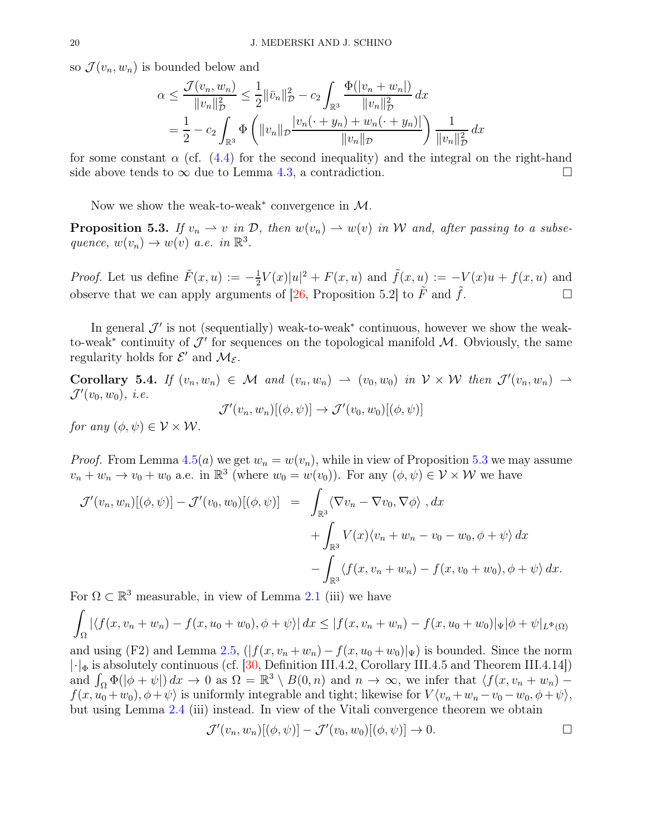so  $\mathcal{J}(v_n, w_n)$  is bounded below and

$$
\alpha \leq \frac{\mathcal{J}(v_n, w_n)}{\|v_n\|_{\mathcal{D}}^2} \leq \frac{1}{2} \|\bar{v}_n\|_{\mathcal{D}}^2 - c_2 \int_{\mathbb{R}^3} \frac{\Phi(|v_n + w_n|)}{\|v_n\|_{\mathcal{D}}^2} dx
$$
  
=  $\frac{1}{2} - c_2 \int_{\mathbb{R}^3} \Phi\left(\|v_n\|_{\mathcal{D}} \frac{|v_n(\cdot + y_n) + w_n(\cdot + y_n)|}{\|v_n\|_{\mathcal{D}}}\right) \frac{1}{\|v_n\|_{\mathcal{D}}^2} dx$ 

for some constant  $\alpha$  (cf. [\(4.4\)](#page-17-1) for the second inequality) and the integral on the right-hand side above tends to  $\infty$  due to Lemma [4.3,](#page-15-3) a contradiction.

Now we show the weak-to-weak<sup>\*</sup> convergence in  $\mathcal{M}$ .

<span id="page-19-0"></span>**Proposition 5.3.** If  $v_n \rightharpoonup v$  in  $\mathcal{D}$ , then  $w(v_n) \rightharpoonup w(v)$  in W and, after passing to a subse*quence,*  $w(v_n) \to w(v)$  *a.e.* in  $\mathbb{R}^3$ .

*Proof.* Let us define  $\tilde{F}(x, u) := -\frac{1}{2}$  $\frac{1}{2}V(x)|u|^2 + F(x, u)$  and  $\tilde{f}(x, u) := -V(x)u + f(x, u)$  and observe that we can apply arguments of [\[26,](#page-23-22) Proposition 5.2] to  $\tilde{F}$  and  $\tilde{f}$ .

In general  $\mathcal{J}'$  is not (sequentially) weak-to-weak<sup>\*</sup> continuous, however we show the weakto-weak<sup>\*</sup> continuity of  $\mathcal{J}'$  for sequences on the topological manifold  $\mathcal{M}$ . Obviously, the same regularity holds for  $\mathcal{E}'$  and  $\mathcal{M}_{\mathcal{E}}$ .

Corollary 5.4. *If*  $(v_n, w_n) \in \mathcal{M}$  and  $(v_n, w_n) \to (v_0, w_0)$  *in*  $\mathcal{V} \times \mathcal{W}$  *then*  $\mathcal{J}'(v_n, w_n) \to$  $\mathcal{J}'(v_0, w_0), \ i.e.$ 

$$
\mathcal{J}'(v_n, w_n)[(\phi, \psi)] \to \mathcal{J}'(v_0, w_0)[(\phi, \psi)]
$$

*for any*  $(\phi, \psi) \in \mathcal{V} \times \mathcal{W}$ *.* 

*Proof.* From Lemma [4.5](#page-17-0)(*a*) we get  $w_n = w(v_n)$ , while in view of Proposition [5.3](#page-19-0) we may assume  $v_n + w_n \to v_0 + w_0$  a.e. in  $\mathbb{R}^3$  (where  $w_0 = w(v_0)$ ). For any  $(\phi, \psi) \in \mathcal{V} \times \mathcal{W}$  we have

$$
\mathcal{J}'(v_n, w_n)[(\phi, \psi)] - \mathcal{J}'(v_0, w_0)[(\phi, \psi)] = \int_{\mathbb{R}^3} \langle \nabla v_n - \nabla v_0, \nabla \phi \rangle \, dx \n+ \int_{\mathbb{R}^3} V(x) \langle v_n + w_n - v_0 - w_0, \phi + \psi \rangle dx \n- \int_{\mathbb{R}^3} \langle f(x, v_n + w_n) - f(x, v_0 + w_0), \phi + \psi \rangle dx.
$$

For  $\Omega \subset \mathbb{R}^3$  measurable, in view of Lemma [2.1](#page-7-0) (iii) we have

$$
\int_{\Omega} |\langle f(x, v_n + w_n) - f(x, u_0 + w_0), \phi + \psi \rangle| dx \le |f(x, v_n + w_n) - f(x, u_0 + w_0)|_{\Psi} |\phi + \psi|_{L^{\Phi}(\Omega)}
$$

and using (F2) and Lemma [2.5,](#page-11-1)  $(|f(x, v_n + w_n) - f(x, u_0 + w_0)|_\Psi)$  is bounded. Since the norm  $|\cdot|_{\Phi}$  is absolutely continuous (cf. [\[30,](#page-23-25) Definition III.4.2, Corollary III.4.5 and Theorem III.4.14]) and  $\int_{\Omega} \Phi(|\phi + \psi|) dx \to 0$  as  $\Omega = \mathbb{R}^3 \setminus B(0, n)$  and  $n \to \infty$ , we infer that  $\langle f(x, v_n + w_n)$  $f(x, u_0 + w_0), \phi + \psi$  is uniformly integrable and tight; likewise for  $V \langle v_n + w_n - v_0 - w_0, \phi + \psi \rangle$ , but using Lemma [2.4](#page-9-0) (iii) instead. In view of the Vitali convergence theorem we obtain

$$
\mathcal{J}'(v_n, w_n)[(\phi, \psi)] - \mathcal{J}'(v_0, w_0)[(\phi, \psi)] \to 0.
$$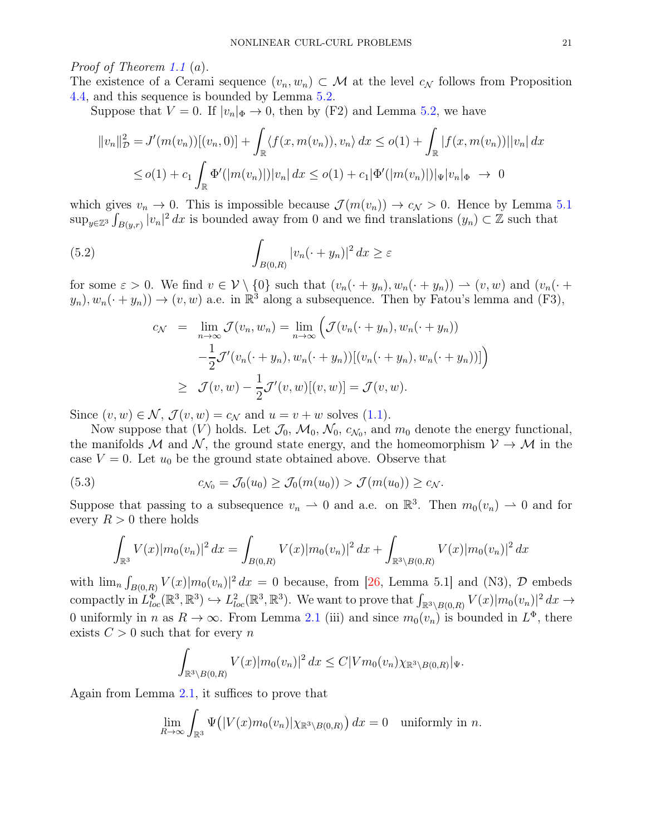# *Proof of Theorem [1.1](#page-5-1)* (a).

The existence of a Cerami sequence  $(v_n, w_n) \subset \mathcal{M}$  at the level  $c_{\mathcal{N}}$  follows from Proposition [4.4,](#page-16-1) and this sequence is bounded by Lemma [5.2.](#page-18-2)

Suppose that  $V = 0$ . If  $|v_n|_{\Phi} \to 0$ , then by (F2) and Lemma [5.2,](#page-18-2) we have

$$
||v_n||_{\mathcal{D}}^2 = J'(m(v_n))[(v_n, 0)] + \int_{\mathbb{R}} \langle f(x, m(v_n)), v_n \rangle dx \le o(1) + \int_{\mathbb{R}} |f(x, m(v_n))||v_n| dx
$$
  

$$
\le o(1) + c_1 \int_{\mathbb{R}} \Phi'(|m(v_n)|) |v_n| dx \le o(1) + c_1 |\Phi'(|m(v_n)|)| |\Psi| v_n|_{\Phi} \to 0
$$

which gives  $v_n \to 0$ . This is impossible because  $\mathcal{J}(m(v_n)) \to c_{\mathcal{N}} > 0$ . Hence by Lemma [5.1](#page-18-1)  $\sup_{y\in\mathbb{Z}^3}\int_{B(y,r)}|v_n|^2\,dx$  is bounded away from 0 and we find translations  $(y_n)\subset\mathbb{Z}$  such that

(5.2) 
$$
\int_{B(0,R)} |v_n(\cdot + y_n)|^2 dx \geq \varepsilon
$$

for some  $\varepsilon > 0$ . We find  $v \in V \setminus \{0\}$  such that  $(v_n(\cdot + y_n), w_n(\cdot + y_n)) \to (v, w)$  and  $(v_n(\cdot + y_n))$  $(y_n), w_n(\cdot + y_n) \to (v, w)$  a.e. in  $\mathbb{R}^3$  along a subsequence. Then by Fatou's lemma and  $(F3)$ ,

$$
c_{\mathcal{N}} = \lim_{n \to \infty} \mathcal{J}(v_n, w_n) = \lim_{n \to \infty} \left( \mathcal{J}(v_n(\cdot + y_n), w_n(\cdot + y_n)) - \frac{1}{2} \mathcal{J}'(v_n(\cdot + y_n), w_n(\cdot + y_n))[(v_n(\cdot + y_n), w_n(\cdot + y_n))]\right)
$$
  

$$
\geq \mathcal{J}(v, w) - \frac{1}{2} \mathcal{J}'(v, w)[(v, w)] = \mathcal{J}(v, w).
$$

Since  $(v, w) \in \mathcal{N}$ ,  $\mathcal{J}(v, w) = c_{\mathcal{N}}$  and  $u = v + w$  solves [\(1.1\)](#page-0-0).

Now suppose that  $(V)$  holds. Let  $\mathcal{J}_0$ ,  $\mathcal{M}_0$ ,  $\mathcal{N}_0$ ,  $c_{\mathcal{N}_0}$ , and  $m_0$  denote the energy functional, the manifolds M and N, the ground state energy, and the homeomorphism  $V \to M$  in the case  $V = 0$ . Let  $u_0$  be the ground state obtained above. Observe that

(5.3) 
$$
c_{\mathcal{N}_0} = \mathcal{J}_0(u_0) \geq \mathcal{J}_0(m(u_0)) > \mathcal{J}(m(u_0)) \geq c_{\mathcal{N}}.
$$

Suppose that passing to a subsequence  $v_n \rightharpoonup 0$  and a.e. on  $\mathbb{R}^3$ . Then  $m_0(v_n) \rightharpoonup 0$  and for every  $R > 0$  there holds

<span id="page-20-0"></span>
$$
\int_{\mathbb{R}^3} V(x) |m_0(v_n)|^2 dx = \int_{B(0,R)} V(x) |m_0(v_n)|^2 dx + \int_{\mathbb{R}^3 \setminus B(0,R)} V(x) |m_0(v_n)|^2 dx
$$

with  $\lim_{n} \int_{B(0,R)} V(x)|m_0(v_n)|^2 dx = 0$  because, from [\[26,](#page-23-22) Lemma 5.1] and (N3),  $\mathcal{D}$  embeds compactly in  $L^{\Phi}_{loc}(\mathbb{R}^3, \mathbb{R}^3) \hookrightarrow L^2_{loc}(\mathbb{R}^3, \mathbb{R}^3)$ . We want to prove that  $\int_{\mathbb{R}^3 \setminus B(0,R)} V(x) |m_0(v_n)|^2 dx \to$ 0 uniformly in n as  $R \to \infty$ . From Lemma [2.1](#page-7-0) (iii) and since  $m_0(v_n)$  is bounded in  $L^{\Phi}$ , there exists  $C > 0$  such that for every n

$$
\int_{\mathbb{R}^3 \setminus B(0,R)} V(x) |m_0(v_n)|^2 dx \le C|Vm_0(v_n)\chi_{\mathbb{R}^3 \setminus B(0,R)}|_{\Psi}.
$$

Again from Lemma [2.1,](#page-7-0) it suffices to prove that

$$
\lim_{R \to \infty} \int_{\mathbb{R}^3} \Psi(|V(x)m_0(v_n)| \chi_{\mathbb{R}^3 \setminus B(0,R)}) dx = 0 \text{ uniformly in } n.
$$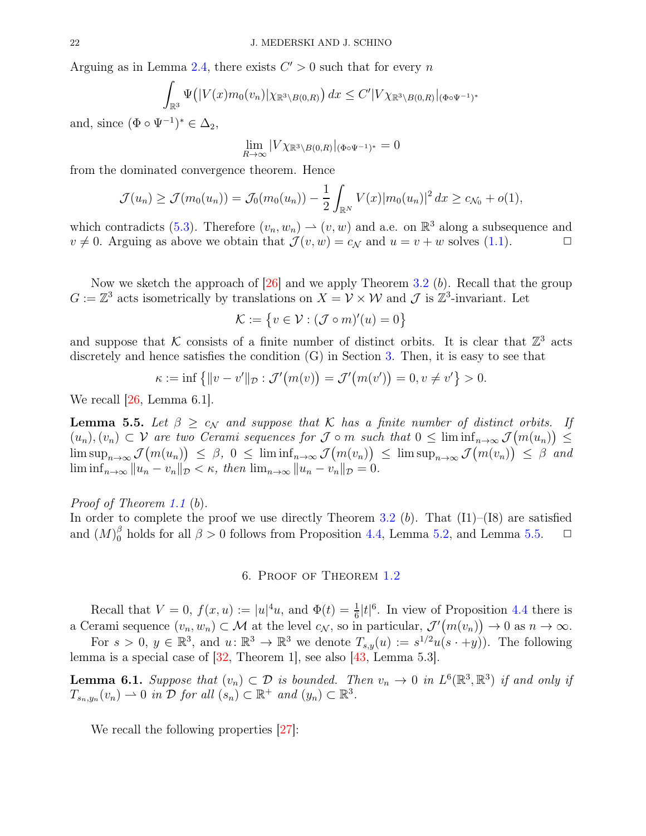Arguing as in Lemma [2.4,](#page-9-0) there exists  $C' > 0$  such that for every n

$$
\int_{\mathbb{R}^3} \Psi\big(|V(x)m_0(v_n)|\chi_{\mathbb{R}^3\setminus B(0,R)}\big) dx \le C' |V\chi_{\mathbb{R}^3\setminus B(0,R)}|_{(\Phi \circ \Psi^{-1})^*}
$$

and, since  $(\Phi \circ \Psi^{-1})^* \in \Delta_2$ ,

$$
\lim_{R\to\infty}|V\chi_{\mathbb{R}^3\backslash B(0,R)}|_{(\Phi\circ\Psi^{-1})^*}=0
$$

from the dominated convergence theorem. Hence

$$
\mathcal{J}(u_n) \ge \mathcal{J}(m_0(u_n)) = \mathcal{J}_0(m_0(u_n)) - \frac{1}{2} \int_{\mathbb{R}^N} V(x) |m_0(u_n)|^2 dx \ge c_{\mathcal{N}_0} + o(1),
$$

which contradicts [\(5.3\)](#page-20-0). Therefore  $(v_n, w_n) \to (v, w)$  and a.e. on  $\mathbb{R}^3$  along a subsequence and  $v \neq 0$ . Arguing as above we obtain that  $\mathcal{J}(v, w) = c_N$  and  $u = v + w$  solves [\(1.1\)](#page-0-0).

Now we sketch the approach of  $[26]$  and we apply Theorem [3.2](#page-14-1) (b). Recall that the group  $G := \mathbb{Z}^3$  acts isometrically by translations on  $X = V \times W$  and  $\mathcal{J}$  is  $\mathbb{Z}^3$ -invariant. Let

$$
\mathcal{K}:=\left\{v\in\mathcal{V}:(\mathcal{J}\circ m)'(u)=0\right\}
$$

and suppose that K consists of a finite number of distinct orbits. It is clear that  $\mathbb{Z}^3$  acts discretely and hence satisfies the condition  $(G)$  in Section [3.](#page-11-0) Then, it is easy to see that

$$
\kappa := \inf \{ ||v - v'||_{\mathcal{D}} : \mathcal{J}'(m(v)) = \mathcal{J}'(m(v')) = 0, v \neq v' \} > 0.
$$

We recall [\[26,](#page-23-22) Lemma 6.1].

<span id="page-21-1"></span>**Lemma 5.5.** Let  $\beta \geq c_N$  and suppose that K has a finite number of distinct orbits. If  $(u_n), (v_n) \subset \mathcal{V}$  are two Cerami sequences for  $\mathcal{J} \circ m$  such that  $0 \leq \liminf_{n \to \infty} \mathcal{J}(m(u_n)) \leq$  $\limsup_{n\to\infty} \mathcal{J}(m(u_n)) \leq \beta, 0 \leq \liminf_{n\to\infty} \mathcal{J}(m(v_n)) \leq \limsup_{n\to\infty} \mathcal{J}(m(v_n)) \leq \beta$  and  $\liminf_{n\to\infty} ||u_n - v_n||_{\mathcal{D}} \leq \kappa, \text{ then } \lim_{n\to\infty} ||u_n - v_n||_{\mathcal{D}} = 0.$ 

*Proof of Theorem [1.1](#page-5-1)* (b).

<span id="page-21-0"></span>In order to complete the proof we use directly Theorem [3.2](#page-14-1)  $(b)$ . That  $(11)$ – $(18)$  are satisfied and  $(M)_0^{\beta}$  holds for all  $\beta > 0$  follows from Proposition [4.4,](#page-16-1) Lemma [5.2,](#page-18-2) and Lemma [5.5.](#page-21-1)  $\Box$ 

6. Proof of Theorem [1.2](#page-6-2)

Recall that  $V = 0$ ,  $f(x, u) := |u|^4 u$ , and  $\Phi(t) = \frac{1}{6} |t|^6$ . In view of Proposition [4.4](#page-16-1) there is a Cerami sequence  $(v_n, w_n) \subset \mathcal{M}$  at the level  $c_N$ , so in particular,  $\mathcal{J}'(m(v_n)) \to 0$  as  $n \to \infty$ .

For  $s > 0$ ,  $y \in \mathbb{R}^3$ , and  $u: \mathbb{R}^3 \to \mathbb{R}^3$  we denote  $T_{s,y}(u) := s^{1/2}u(s \cdot + y)$ . The following lemma is a special case of  $[32,$  Theorem 1, see also  $[43,$  Lemma 5.3.

<span id="page-21-2"></span>**Lemma 6.1.** Suppose that  $(v_n) \subset \mathcal{D}$  is bounded. Then  $v_n \to 0$  in  $L^6(\mathbb{R}^3, \mathbb{R}^3)$  if and only if  $T_{s_n,y_n}(v_n) \rightharpoonup 0$  *in*  $\overline{\mathcal{D}}$  *for all*  $(s_n) \subset \mathbb{R}^+$  *and*  $(y_n) \subset \mathbb{R}^3$ *.* 

We recall the following properties  $|27|$ :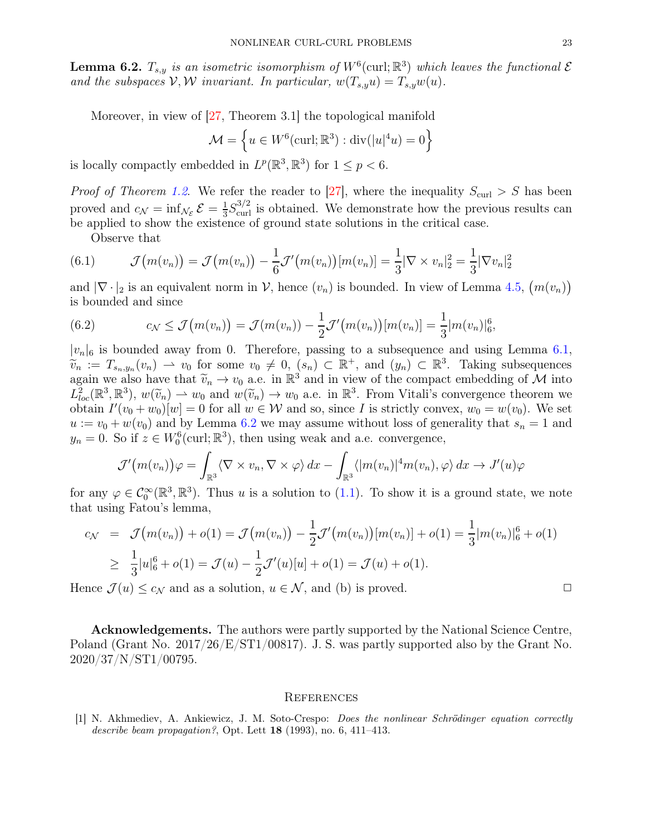<span id="page-22-1"></span>**Lemma 6.2.**  $T_{s,y}$  is an isometric isomorphism of  $W^6$  (curl;  $\mathbb{R}^3$ ) which leaves the functional  $\mathcal{E}$ and the subspaces  $V, W$  *invariant. In particular,*  $w(T_{s,y}u) = T_{s,y}w(u)$ .

Moreover, in view of [\[27,](#page-23-20) Theorem 3.1] the topological manifold

$$
\mathcal{M} = \left\{ u \in W^6(\text{curl}; \mathbb{R}^3) : \text{div}(|u|^4 u) = 0 \right\}
$$

is locally compactly embedded in  $L^p(\mathbb{R}^3, \mathbb{R}^3)$  for  $1 \leq p < 6$ .

*Proof of Theorem [1.2](#page-6-2).* We refer the reader to [\[27\]](#page-23-20), where the inequality  $S_{\text{curl}} > S$  has been proved and  $c_{\mathcal{N}} = \inf_{\mathcal{N}_{\mathcal{E}}} \mathcal{E} = \frac{1}{3}$  $\frac{1}{3}S_{\text{curl}}^{3/2}$  is obtained. We demonstrate how the previous results can be applied to show the existence of ground state solutions in the critical case.

Observe that

(6.1) 
$$
\mathcal{J}(m(v_n)) = \mathcal{J}(m(v_n)) - \frac{1}{6}\mathcal{J}'(m(v_n))[m(v_n)] = \frac{1}{3}|\nabla \times v_n|^2 = \frac{1}{3}|\nabla v_n|^2
$$

and  $|\nabla \cdot |_2$  is an equivalent norm in  $\mathcal{V}$ , hence  $(v_n)$  is bounded. In view of Lemma [4.5,](#page-17-0)  $(m(v_n))$ is bounded and since

(6.2) 
$$
c_{\mathcal{N}} \leq \mathcal{J}(m(v_n)) = \mathcal{J}(m(v_n)) - \frac{1}{2}\mathcal{J}'(m(v_n))[m(v_n)] = \frac{1}{3}|m(v_n)|_6^6,
$$

 $|v_n|_6$  is bounded away from 0. Therefore, passing to a subsequence and using Lemma [6.1,](#page-21-2)  $\widetilde{v}_n := T_{s_n,y_n}(v_n) \to v_0$  for some  $v_0 \neq 0$ ,  $(s_n) \subset \mathbb{R}^+$ , and  $(y_n) \subset \mathbb{R}^3$ . Taking subsequences again we also have that  $\widetilde{v}_n \to v_0$  a.e. in  $\mathbb{R}^3$  and in view of the compact embedding of M into  $L^2_{loc}(\mathbb{R}^3, \mathbb{R}^3)$ ,  $w(\widetilde{v}_n) \to w_0$  and  $w(\widetilde{v}_n) \to w_0$  a.e. in  $\mathbb{R}^3$ . From Vitali's convergence theorem we<br>obtain  $U(x, +w)$  by a family  $\mathbb{R}^3$  and as since Lie strictly convergence theorem we obtain  $I'(v_0 + w_0)[w] = 0$  for all  $w \in W$  and so, since I is strictly convex,  $w_0 = w(v_0)$ . We set  $u := v_0 + w(v_0)$  and by Lemma [6.2](#page-22-1) we may assume without loss of generality that  $s_n = 1$  and  $y_n = 0$ . So if  $z \in W_0^6(\text{curl}; \mathbb{R}^3)$ , then using weak and a.e. convergence,

$$
\mathcal{J}'\big(m(v_n)\big)\varphi = \int_{\mathbb{R}^3} \langle \nabla \times v_n, \nabla \times \varphi \rangle dx - \int_{\mathbb{R}^3} \langle |m(v_n)|^4 m(v_n), \varphi \rangle dx \to J'(u)\varphi
$$

for any  $\varphi \in C_0^{\infty}(\mathbb{R}^3, \mathbb{R}^3)$ . Thus u is a solution to [\(1.1\)](#page-0-0). To show it is a ground state, we note that using Fatou's lemma,

$$
c_{\mathcal{N}} = \mathcal{J}(m(v_n)) + o(1) = \mathcal{J}(m(v_n)) - \frac{1}{2}\mathcal{J}'(m(v_n))[m(v_n)] + o(1) = \frac{1}{3}|m(v_n)|_6^6 + o(1)
$$
  
\n
$$
\geq \frac{1}{3}|u|_6^6 + o(1) = \mathcal{J}(u) - \frac{1}{2}\mathcal{J}'(u)[u] + o(1) = \mathcal{J}(u) + o(1).
$$

Hence  $\mathcal{J}(u) \leq c_{\mathcal{N}}$  and as a solution,  $u \in \mathcal{N}$ , and (b) is proved.

Acknowledgements. The authors were partly supported by the National Science Centre, Poland (Grant No. 2017/26/E/ST1/00817). J. S. was partly supported also by the Grant No. 2020/37/N/ST1/00795.

#### **REFERENCES**

<span id="page-22-0"></span>[1] N. Akhmediev, A. Ankiewicz, J. M. Soto-Crespo: Does the nonlinear Schrödinger equation correctly describe beam propagation?, Opt. Lett  $18$  (1993), no. 6, 411–413.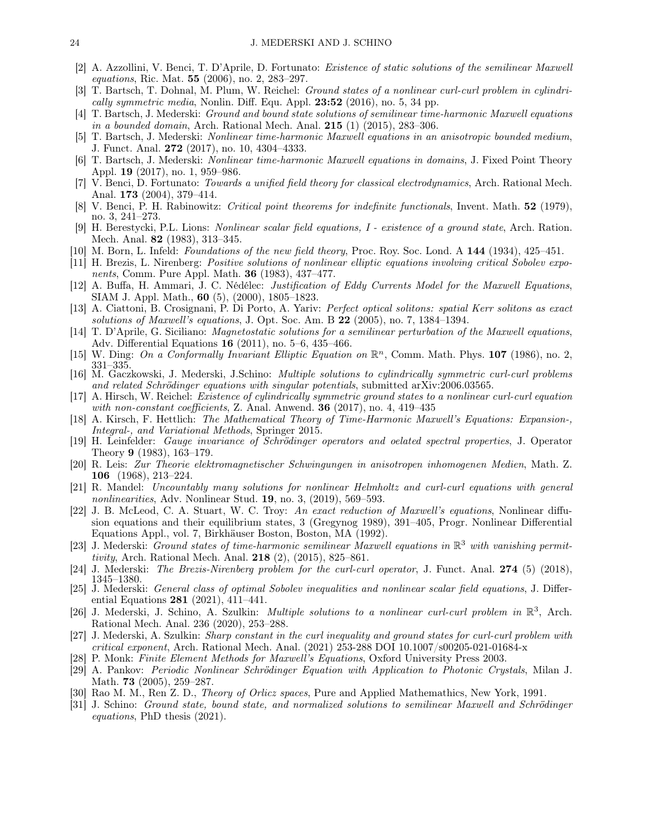- <span id="page-23-6"></span>[2] A. Azzollini, V. Benci, T. D'Aprile, D. Fortunato: Existence of static solutions of the semilinear Maxwell equations, Ric. Mat. 55 (2006), no. 2, 283–297.
- <span id="page-23-5"></span>[3] T. Bartsch, T. Dohnal, M. Plum, W. Reichel: Ground states of a nonlinear curl-curl problem in cylindrically symmetric media, Nonlin. Diff. Equ. Appl.  $23:52$  (2016), no. 5, 34 pp.
- <span id="page-23-11"></span>[4] T. Bartsch, J. Mederski: Ground and bound state solutions of semilinear time-harmonic Maxwell equations in a bounded domain, Arch. Rational Mech. Anal. 215 (1) (2015), 283–306.
- <span id="page-23-12"></span>[5] T. Bartsch, J. Mederski: Nonlinear time-harmonic Maxwell equations in an anisotropic bounded medium, J. Funct. Anal. 272 (2017), no. 10, 4304–4333.
- <span id="page-23-21"></span>[6] T. Bartsch, J. Mederski: Nonlinear time-harmonic Maxwell equations in domains, J. Fixed Point Theory Appl. 19 (2017), no. 1, 959–986.
- <span id="page-23-1"></span>[7] V. Benci, D. Fortunato: Towards a unified field theory for classical electrodynamics, Arch. Rational Mech. Anal. **173** (2004), 379–414.
- <span id="page-23-24"></span>[8] V. Benci, P. H. Rabinowitz: Critical point theorems for indefinite functionals, Invent. Math. 52 (1979), no. 3, 241–273.
- <span id="page-23-23"></span>[9] H. Berestycki, P.L. Lions: Nonlinear scalar field equations, I - existence of a ground state, Arch. Ration. Mech. Anal. 82 (1983), 313–345.
- <span id="page-23-2"></span>[10] M. Born, L. Infeld: *Foundations of the new field theory*, Proc. Roy. Soc. Lond. A 144 (1934), 425–451.
- <span id="page-23-18"></span>[11] H. Brezis, L. Nirenberg: Positive solutions of nonlinear elliptic equations involving critical Sobolev exponents, Comm. Pure Appl. Math. 36 (1983), 437–477.
- <span id="page-23-13"></span>[12] A. Buffa, H. Ammari, J. C. Nédélec: Justification of Eddy Currents Model for the Maxwell Equations, SIAM J. Appl. Math., 60 (5), (2000), 1805–1823.
- <span id="page-23-3"></span>[13] A. Ciattoni, B. Crosignani, P. Di Porto, A. Yariv: Perfect optical solitons: spatial Kerr solitons as exact solutions of Maxwell's equations, J. Opt. Soc. Am. B  $22$  (2005), no. 7, 1384–1394.
- <span id="page-23-7"></span>[14] T. D'Aprile, G. Siciliano: Magnetostatic solutions for a semilinear perturbation of the Maxwell equations, Adv. Differential Equations 16 (2011), no. 5–6, 435–466.
- <span id="page-23-26"></span>[15] W. Ding: On a Conformally Invariant Elliptic Equation on  $\mathbb{R}^n$ , Comm. Math. Phys. 107 (1986), no. 2, 331–335.
- <span id="page-23-8"></span>[16] M. Gaczkowski, J. Mederski, J.Schino: Multiple solutions to cylindrically symmetric curl-curl problems and related Schrödinger equations with singular potentials, submitted arXiv:2006.03565.
- <span id="page-23-9"></span>[17] A. Hirsch, W. Reichel: Existence of cylindrically symmetric ground states to a nonlinear curl-curl equation with non-constant coefficients, Z. Anal. Anwend.  $36$  (2017), no. 4, 419–435
- <span id="page-23-14"></span>[18] A. Kirsch, F. Hettlich: The Mathematical Theory of Time-Harmonic Maxwell's Equations: Expansion-, Integral-, and Variational Methods, Springer 2015.
- <span id="page-23-28"></span>[19] H. Leinfelder: Gauge invariance of Schrödinger operators and oelated spectral properties, J. Operator Theory 9 (1983), 163–179.
- <span id="page-23-15"></span>[20] R. Leis: Zur Theorie elektromagnetischer Schwingungen in anisotropen inhomogenen Medien, Math. Z. 106 (1968), 213–224.
- <span id="page-23-10"></span>[21] R. Mandel: Uncountably many solutions for nonlinear Helmholtz and curl-curl equations with general nonlinearities, Adv. Nonlinear Stud. 19, no. 3, (2019), 569–593.
- <span id="page-23-4"></span>[22] J. B. McLeod, C. A. Stuart, W. C. Troy: An exact reduction of Maxwell's equations, Nonlinear diffusion equations and their equilibrium states, 3 (Gregynog 1989), 391–405, Progr. Nonlinear Differential Equations Appl., vol. 7, Birkhäuser Boston, Boston, MA (1992).
- <span id="page-23-0"></span>[23] J. Mederski: Ground states of time-harmonic semilinear Maxwell equations in  $\mathbb{R}^3$  with vanishing permittivity, Arch. Rational Mech. Anal.  $218$  (2), (2015), 825–861.
- <span id="page-23-19"></span>[24] J. Mederski: The Brezis-Nirenberg problem for the curl-curl operator, J. Funct. Anal. 274 (5) (2018), 1345–1380.
- <span id="page-23-29"></span>[25] J. Mederski: General class of optimal Sobolev inequalities and nonlinear scalar field equations, J. Differential Equations 281 (2021), 411–441.
- <span id="page-23-22"></span>[26] J. Mederski, J. Schino, A. Szulkin: *Multiple solutions to a nonlinear curl-curl problem in*  $\mathbb{R}^3$ , Arch. Rational Mech. Anal. 236 (2020), 253–288.
- <span id="page-23-20"></span>[27] J. Mederski, A. Szulkin: Sharp constant in the curl inequality and ground states for curl-curl problem with critical exponent, Arch. Rational Mech. Anal. (2021) 253-288 DOI 10.1007/s00205-021-01684-x
- <span id="page-23-16"></span>[28] P. Monk: Finite Element Methods for Maxwell's Equations, Oxford University Press 2003.
- <span id="page-23-17"></span>[29] A. Pankov: Periodic Nonlinear Schrödinger Equation with Application to Photonic Crystals, Milan J. Math. 73 (2005), 259–287.
- <span id="page-23-25"></span>[30] Rao M. M., Ren Z. D., Theory of Orlicz spaces, Pure and Applied Mathemathics, New York, 1991.
- <span id="page-23-27"></span>[31] J. Schino: Ground state, bound state, and normalized solutions to semilinear Maxwell and Schrödinger equations, PhD thesis (2021).